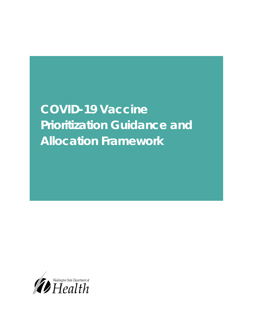# **COVID-19 Vaccine Prioritization Guidance and Allocation Framework**

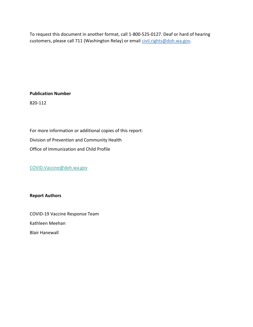To request this document in another format, call 1-800-525-0127. Deaf or hard of hearing customers, please call 711 (Washington Relay) or email [civil.rights@doh.wa.gov.](mailto:civil.rights@doh.wa.gov)

### **Publication Number**

820-112

For more information or additional copies of this report: Division of Prevention and Community Health Office of Immunization and Child Profile

[COVID.Vaccine@doh.wa.gov](mailto:COVID.Vaccine@doh.wa.gov)

### **Report Authors**

COVID-19 Vaccine Response Team Kathleen Meehan Blair Hanewall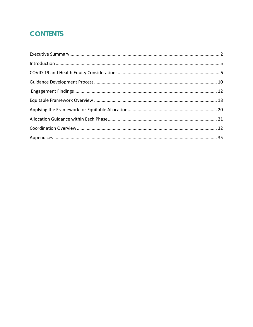# **CONTENTS**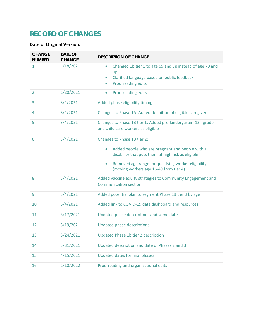# **RECORD OF CHANGES**

# **Date of Original Version:**

| <b>CHANGE</b><br><b>NUMBER</b> | <b>DATE OF</b><br><b>CHANGE</b> | <b>DESCRIPTION OF CHANGE</b>                                                                                                                                                                                                                            |
|--------------------------------|---------------------------------|---------------------------------------------------------------------------------------------------------------------------------------------------------------------------------------------------------------------------------------------------------|
| 1                              | 1/18/2021                       | Changed 1b tier 1 to age 65 and up instead of age 70 and<br>$\bullet$<br>up.<br>Clarified language based on public feedback<br>Proofreading edits<br>۰                                                                                                  |
| $\overline{2}$                 | 1/20/2021                       | Proofreading edits<br>$\bullet$                                                                                                                                                                                                                         |
| 3                              | 3/4/2021                        | Added phase eligibility timing                                                                                                                                                                                                                          |
| 4                              | 3/4/2021                        | Changes to Phase 1A: Added definition of eligible caregiver                                                                                                                                                                                             |
| 5                              | 3/4/2021                        | Changes to Phase 1B tier 1: Added pre-kindergarten-12 <sup>th</sup> grade<br>and child care workers as eligible                                                                                                                                         |
| 6                              | 3/4/2021                        | Changes to Phase 1B tier 2:<br>Added people who are pregnant and people with a<br>$\bullet$<br>disability that puts them at high risk as eligible<br>Removed age range for qualifying worker eligibility<br>۰<br>(moving workers age 16-49 from tier 4) |
| 8                              | 3/4/2021                        | Added vaccine equity strategies to Community Engagement and<br>Communication section.                                                                                                                                                                   |
| 9                              | 3/4/2021                        | Added potential plan to segment Phase 1B tier 3 by age                                                                                                                                                                                                  |
| 10                             | 3/4/2021                        | Added link to COVID-19 data dashboard and resources                                                                                                                                                                                                     |
| 11                             | 3/17/2021                       | Updated phase descriptions and some dates                                                                                                                                                                                                               |
| 12                             | 3/19/2021                       | Updated phase descriptions                                                                                                                                                                                                                              |
| 13                             | 3/24/2021                       | Updated Phase 1b tier 2 description                                                                                                                                                                                                                     |
| 14                             | 3/31/2021                       | Updated description and date of Phases 2 and 3                                                                                                                                                                                                          |
| 15                             | 4/15/2021                       | Updated dates for final phases                                                                                                                                                                                                                          |
| 16                             | 1/10/2022                       | Proofreading and organizational edits                                                                                                                                                                                                                   |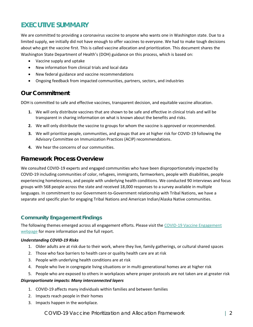# <span id="page-4-0"></span>**EXECUTIVE SUMMARY**

We are committed to providing a coronavirus vaccine to anyone who wants one in Washington state. Due to a limited supply, we initially did not have enough to offer vaccines to everyone. We had to make tough decisions about who got the vaccine first. This is called vaccine allocation and prioritization. This document shares the Washington State Department of Health's (DOH) guidance on this process, which is based on:

- Vaccine supply and uptake
- New information from clinical trials and local data
- New federal guidance and vaccine recommendations
- Ongoing feedback from impacted communities, partners, sectors, and industries

# **Our Commitment**

DOH is committed to safe and effective vaccines, transparent decision, and equitable vaccine allocation.

- **1.** We will only distribute vaccines that are shown to be safe and effective in clinical trials and will be transparent in sharing information on what is known about the benefits and risks.
- **2.** We will only distribute the vaccine to groups for whom the vaccine is approved or recommended.
- **3.** We will prioritize people, communities, and groups that are at higher risk for COVID-19 following the Advisory Committee on Immunization Practices (ACIP) recommendations.
- **4.** We hear the concerns of our communities.

# **Framework Process Overview**

We consulted COVID-19 experts and engaged communities who have been disproportionately impacted by COVID-19 including communities of color, refugees, immigrants, farmworkers, people with disabilities, people experiencing homelessness, and people with underlying health conditions. We conducted 90 interviews and focus groups with 568 people across the state and received 18,000 responses to a survey available in multiple languages. In commitment to our Government-to-Government relationship with Tribal Nations, we have a separate and specific plan for engaging Tribal Nations and American Indian/Alaska Native communities.

### **Community Engagement Findings**

The following themes emerged across all engagement efforts. Please visit the [COVID-19 Vaccine Engagement](https://www.doh.wa.gov/Emergencies/COVID19/VaccineInformation/Engagement/Collaborative)  [webpage](https://www.doh.wa.gov/Emergencies/COVID19/VaccineInformation/Engagement/Collaborative) for more information and the full report.

### *Understanding COVID-19 Risks*

- 1. Older adults are at risk due to their work, where they live, family gatherings, or cultural shared spaces
- 2. Those who face barriers to health care or quality health care are at risk
- 3. People with underlying health conditions are at risk
- 4. People who live in congregate living situations or in multi-generational homes are at higher risk
- 5. People who are exposed to others in workplaces where proper protocols are not taken are at greater risk

### *Disproportionate impacts: Many interconnected layers*

- 1. COVID-19 affects many individuals within families and between families
- 2. Impacts reach people in their homes
- 3. Impacts happen in the workplace.

### COVID-19 Vaccine Prioritization and Allocation Framework | 2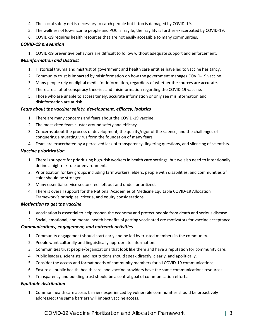- 4. The social safety net is necessary to catch people but it too is damaged by COVID-19.
- 5. The wellness of low-income people and POC is fragile; the fragility is further exacerbated by COVID-19.
- 6. COVID-19 requires health resources that are not easily accessible to many communities.

### *COVID-19 prevention*

1. COVID-19 preventive behaviors are difficult to follow without adequate support and enforcement.

### *Misinformation and Distrust*

- 1. Historical trauma and mistrust of government and health care entities have led to vaccine hesitancy.
- 2. Community trust is impacted by misinformation on how the government manages COVID-19 vaccine.
- 3. Many people rely on digital media for information, regardless of whether the sources are accurate.
- 4. There are a lot of conspiracy theories and misinformation regarding the COVID 19 vaccine.
- 5. Those who are unable to access timely, accurate information or only see misinformation and disinformation are at risk.

### *Fears about the vaccine: safety, development, efficacy, logistics*

- 1. There are many concerns and fears about the COVID-19 vaccine**.**
- 2. The most-cited fears cluster around safety and efficacy.
- 3. Concerns about the process of development, the quality/rigor of the science, and the challenges of conquering a mutating virus form the foundation of many fears.
- 4. Fears are exacerbated by a perceived lack of transparency, lingering questions, and silencing of scientists.

### *Vaccine prioritization*

- 1. There is support for prioritizing high-risk workers in health care settings, but we also need to intentionally define a high-risk role or environment.
- 2. Prioritization for key groups including farmworkers, elders, people with disabilities, and communities of color should be stronger.
- 3. Many essential service sectors feel left out and under-prioritized.
- 4. There is overall support for the National Academies of Medicine Equitable COVID-19 Allocation Framework's principles, criteria, and equity considerations.

#### *Motivation to get the vaccine*

- 1. Vaccination is essential to help reopen the economy and protect people from death and serious disease.
- 2. Social, emotional, and mental health benefits of getting vaccinated are motivators for vaccine acceptance.

### *Communications, engagement, and outreach activities*

- 1. Community engagement should start early and be led by trusted members in the community.
- 2. People want culturally and linguistically appropriate information.
- 3. Communities trust people/organizations that look like them and have a reputation for community care.
- 4. Public leaders, scientists, and institutions should speak directly, clearly, and apolitically.
- 5. Consider the access and format needs of community members for all COVID-19 communications.
- 6. Ensure all public health, health care, and vaccine providers have the same communications resources.
- 7. Transparency and building trust should be a central goal of communication efforts.

### *Equitable distribution*

1. Common health care access barriers experienced by vulnerable communities should be proactively addressed; the same barriers will impact vaccine access.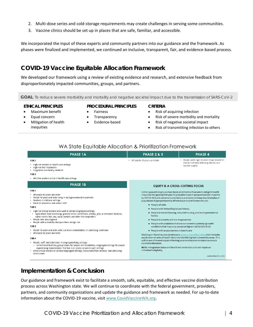- 2. Multi-dose series and cold-storage requirements may create challenges in serving some communities.
- 3. Vaccine clinics should be set up in places that are safe, familiar, and accessible.

We incorporated the input of these experts and community partners into our guidance and the framework. As phases were finalized and implemented, we continued an inclusive, transparent, fair, and evidence-based process.

# **COVID-19 Vaccine Equitable Allocation Framework**

We developed our framework using a review of existing evidence and research, and extensive feedback from disproportionately impacted communities, groups, and partners.

**GOAL**: To reduce severe morbidity and mortality and negative societal impact due to the transmission of SARS-CoV-2

#### **ETHICAL PRINCIPLES**

**PROCEDURAL PRINCIPLES**

- Maximum benefit
- Equal concern
- Mitigation of health inequities
- Fairness
- **Transparency**
- Evidence-based

#### **CRITERIA**

- Risk of acquiring infection
- Risk of severe morbidity and mortality
- Risk of negative societal impact
- Risk of transmitting infection to others

### WA State Equitable Allocation & Prioritization Framework

| <b>PHASE 1A</b>                                                                                                                                                                                                                                                                                                                                                                                                                                                                                                                                                                                                                                                                                                                                                                                                                                                                                                                                                                                                                                                                                            | <b>PHASE 2 &amp; 3</b>                                                                                                                                                                                                                                                                                                                                                  | <b>PHASE 4</b>                                                                                                                                                                                                                                                                                                                                                                                                                                                                                                                                                                                                                                                                                                                 |
|------------------------------------------------------------------------------------------------------------------------------------------------------------------------------------------------------------------------------------------------------------------------------------------------------------------------------------------------------------------------------------------------------------------------------------------------------------------------------------------------------------------------------------------------------------------------------------------------------------------------------------------------------------------------------------------------------------------------------------------------------------------------------------------------------------------------------------------------------------------------------------------------------------------------------------------------------------------------------------------------------------------------------------------------------------------------------------------------------------|-------------------------------------------------------------------------------------------------------------------------------------------------------------------------------------------------------------------------------------------------------------------------------------------------------------------------------------------------------------------------|--------------------------------------------------------------------------------------------------------------------------------------------------------------------------------------------------------------------------------------------------------------------------------------------------------------------------------------------------------------------------------------------------------------------------------------------------------------------------------------------------------------------------------------------------------------------------------------------------------------------------------------------------------------------------------------------------------------------------------|
| TIER <sub>1</sub><br>• High-risk workers in health care settings<br>· High-risk first responders<br>• Long-term care facility residents<br>TIER <sub>2</sub>                                                                                                                                                                                                                                                                                                                                                                                                                                                                                                                                                                                                                                                                                                                                                                                                                                                                                                                                               | • All people 16 years and older                                                                                                                                                                                                                                                                                                                                         | • People under age 16 years of age (based on<br>clinical trial data, federal guidance, and<br>vaccine supply)                                                                                                                                                                                                                                                                                                                                                                                                                                                                                                                                                                                                                  |
| • All other workers at risk in health care settings                                                                                                                                                                                                                                                                                                                                                                                                                                                                                                                                                                                                                                                                                                                                                                                                                                                                                                                                                                                                                                                        |                                                                                                                                                                                                                                                                                                                                                                         |                                                                                                                                                                                                                                                                                                                                                                                                                                                                                                                                                                                                                                                                                                                                |
| <b>PHASE 1B</b>                                                                                                                                                                                                                                                                                                                                                                                                                                                                                                                                                                                                                                                                                                                                                                                                                                                                                                                                                                                                                                                                                            | <b>EQUITY IS A CROSS-CUTTING FOCUS</b>                                                                                                                                                                                                                                                                                                                                  |                                                                                                                                                                                                                                                                                                                                                                                                                                                                                                                                                                                                                                                                                                                                |
| TIER <sub>1</sub><br>• All people 65 years and older<br>• People 50 years and older living in multigenerational households<br>• Workers in childcare settings<br>· Pre-K-12 educators and school staff<br>TIER <sub>2</sub><br>· High-risk critical workers who work in certain congregate settings:<br>- Agriculture; food processing; grocery stores; corrections, prisons, jails, or detention facilities;<br>public transit; fire, law, social workers and other first responders<br>• People who are pregnant<br>. People with a disability that puts them at high risk<br>TIER <sub>3</sub><br>. People 16 years and older with 2 or more comorbidities or underlying conditions<br>· All people 60 years and older<br>TIER <sub>4</sub><br>· People, staff, and volunteers in congregate living settings:<br>- Correctional facilities; group homes for people with disabilities; congregate settings for people<br>experiencing homelessness that live in or access service in such settings<br>- Other critical workers in certain congregate settings: restaurants/food services; manufacturing; | populations disproportionately affected due to such factors include:<br>• People of color<br>· People with limited English proficiency<br>homes<br>· People in poverty and low-wageearners<br>· People with access barriers to healthcare<br>equitable allocation.<br>NOTE Immigration status and health insurance status do not impact an<br>individual's eligibility. | Certain population groups have been prioritized with an aim to mitigate health<br>inequities recognizing that specific populations are disproportionately impacted<br>by COVID-19 due to external social factors and systemic inequities. Examples of<br>• People in shared housing, crowded housing, and multi-generational<br>. People with disabilities that are connected to underlying health<br>conditions that may put a person at higher risk for COVID-19<br>Washington State has also developed a social vulnerability index which includes<br>social determinants of health factors to identify highest vulnerability areas. This<br>will be one of several inputs informing vaccine allocation decisions to ensure |
| construction                                                                                                                                                                                                                                                                                                                                                                                                                                                                                                                                                                                                                                                                                                                                                                                                                                                                                                                                                                                                                                                                                               |                                                                                                                                                                                                                                                                                                                                                                         | Update March 31, 2021                                                                                                                                                                                                                                                                                                                                                                                                                                                                                                                                                                                                                                                                                                          |

# **Implementation & Conclusion**

Our guidance and framework exist to facilitate a smooth, safe, equitable, and effective vaccine distribution process across Washington state. We will continue to coordinate with the federal government, providers, partners, and community organizations and update the guidance and framework as needed. For up-to-date information about the COVID-19 vaccine, visit [www.CovidVaccineWA.org.](http://www.covidvaccinewa.org/)

<span id="page-6-0"></span>COVID-19 Vaccine Prioritization and Allocation Framework | 4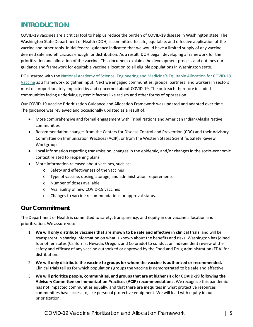# **INTRODUCTION**

COVID-19 vaccines are a critical tool to help us reduce the burden of COVID-19 disease in Washington state. The Washington State Department of Health (DOH) is committed to safe, equitable, and effective application of the vaccine and other tools. Initial federal guidance indicated that we would have a limited supply of any vaccine deemed safe and efficacious enough for distribution. As a result, DOH began developing a framework for the prioritization and allocation of the vaccine. This document explains the development process and outlines our guidance and framework for equitable vaccine allocation to all eligible populations in Washington state.

DOH started with the [National Academy of Science, Engineering and Medicine's Equitable Allocation for COVID](https://www.nationalacademies.org/our-work/a-framework-for-equitable-allocation-of-vaccine-for-the-novel-coronavirus#sectionPublications)-19 [Vaccine](https://www.nationalacademies.org/our-work/a-framework-for-equitable-allocation-of-vaccine-for-the-novel-coronavirus#sectionPublications) as a framework to gather input. Next we engaged communities, groups, partners, and workers in sectors most disproportionately impacted by and concerned about COVID-19. The outreach therefore included communities facing underlying systemic factors like racism and other forms of oppression.

Our COVID-19 Vaccine Prioritization Guidance and Allocation Framework was updated and adapted over time. The guidance was reviewed and occasionally updated as a result of:

- More comprehensive and formal engagement with Tribal Nations and American Indian/Alaska Native communities
- Recommendation changes from the Centers for Disease Control and Prevention (CDC) and their Advisory Committee on Immunization Practices (ACIP), or from the Western States Scientific Safety Review Workgroup
- Local information regarding transmission, changes in the epidemic, and/or changes in the socio-economic context related to reopening plans
- More information released about vaccines, such as:
	- o Safety and effectiveness of the vaccines
	- o Type of vaccine, dosing, storage, and administration requirements
	- o Number of doses available
	- o Availability of new COVID-19 vaccines
	- o Changes to vaccine recommendations or approval status.

# **Our Commitment**

The Department of Health is committed to safety, transparency, and equity in our vaccine allocation and prioritization. We assure you:

- 1. **We will only distribute vaccines that are shown to be safe and effective in clinical trials**, and will be transparent in sharing information on what is known about the benefits and risks. Washington has joined four other states (California, Nevada, Oregon, and Colorado) to conduct an independent review of the safety and efficacy of any vaccine authorized or approved by the Food and Drug Administration (FDA) for distribution.
- 2. **We will only distribute the vaccine to groups for whom the vaccine is authorized or recommended.**  Clinical trials tell us for which populations groups the vaccine is demonstrated to be safe and effective.
- 3. **We will prioritize people, communities, and groups that are at higher risk for COVID-19 following the Advisory Committee on Immunization Practices (ACIP) recommendations.** We recognize this pandemic has not impacted communities equally, and that there are inequities in what protective resources communities have access to, like personal protective equipment. We will lead with equity in our prioritization.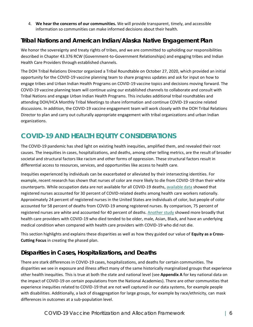4. **We hear the concerns of our communities.** We will provide transparent, timely, and accessible information so communities can make informed decisions about their health.

# **Tribal Nations and American Indian/Alaska Native Engagement Plan**

We honor the sovereignty and treaty rights of tribes, and we are committed to upholding our responsibilities described in Chapter 43.376 RCW (Government-to-Government Relationships) and engaging tribes and Indian Health Care Providers through established channels.

The DOH Tribal Relations Director organized a Tribal Roundtable on October 27, 2020, which provided an initial opportunity for the COVID-19 vaccine planning team to share progress updates and ask for input on how to engage tribes and Urban Indian Health Programs on COVID-19 vaccine topics and decisions moving forward. The COVID-19 vaccine planning team will continue using our established channels to collaborate and consult with Tribal Nations and engage Urban Indian Health Programs. This includes additional tribal roundtables and attending DOH/HCA Monthly Tribal Meetings to share information and continue COVID-19 vaccine related discussions. In addition, the COVID-19 vaccine engagement team will work closely with the DOH Tribal Relations Director to plan and carry out culturally appropriate engagement with tribal organizations and urban Indian organizations.

# <span id="page-8-0"></span>**COVID-19 AND HEALTH EQUITY CONSIDERATIONS**

The COVID-19 pandemic has shed light on existing health inequities, amplified them, and revealed their root causes. The inequities in cases, hospitalizations, and deaths, among other telling metrics, are the result of broader societal and structural factors like racism and other forms of oppression. These structural factors result in differential access to resources, services, and opportunities like access to health care.

Inequities experienced by individuals can be exacerbated or alleviated by their intersecting identities. For example, recent research has shown that nurses of color are more likely to die from COVID-19 than their white counterparts. While occupation data are not available for all COVID-19 deaths[, available data](https://act.nationalnursesunited.org/page/-/files/graphics/0920_Covid19_SinsOfOmission_Data_Report.pdf) showed that registered nurses accounted for 30 percent of COVID-related deaths among health care workers nationally. Approximately 24 percent of registered nurses in the United States are individuals of color, but people of color accounted for 58 percent of deaths from COVID-19 among registered nurses. By comparison, 75 percent of registered nurses are white and accounted for 40 percent of deaths[. Another study](https://www.cdc.gov/mmwr/volumes/69/wr/mm6938a3.htm?s_cid=mm6938a3_w) showed more broadly that health care providers with COVID-19 who died tended to be older, male, Asian, Black, and have an underlying medical condition when compared with health care providers with COVID-19 who did not die.

This section highlights and explains these disparities as well as how they guided our value of **Equity as a Cross-Cutting Focus** in creating the phased plan.

# **Disparities in Cases, Hospitalizations, and Deaths**

There are stark differences in COVID-19 cases, hospitalizations, and deaths for certain communities. The disparities we see in exposure and illness affect many of the same historically marginalized groups that experience other health inequities. This is true at both the state and national level (see **Appendix A** for key national data on the impact of COVID-19 on certain populations from the National Academies). There are other communities that experience inequities related to COVID-19 that are not well captured in our data systems, for example people with disabilities. Additionally, a lack of disaggregation for large groups, for example by race/ethnicity, can mask differences in outcomes at a sub-population level.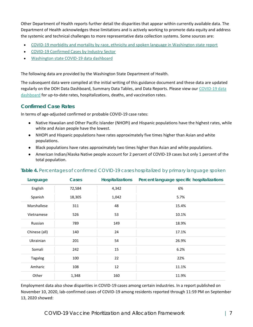Other Department of Health reports further detail the disparities that appear within currently available data. The Department of Health acknowledges these limitations and is actively working to promote data equity and address the systemic and technical challenges to more representative data collection systems. Some sources are:

- [COVID-19 morbidity and mortality by race, ethnicity and spoken language in Washington state report](https://www.doh.wa.gov/Portals/1/Documents/1600/coronavirus/data-tables/COVID-19MorbidityMortalityRaceEthnicityLanguageWAState.pdf)
- [COVID-19 Confirmed Cases by Industry Sector](https://www.doh.wa.gov/Portals/1/Documents/1600/coronavirus/IndustrySectorReport.pdf)
- [Washington state COVID-19 data dashboard](https://www.doh.wa.gov/Emergencies/COVID19/DataDashboard)

The following data are provided by the Washington State Department of Health.

The subsequent data were compiled at the initial writing of this guidance document and these data are updated regularly on the DOH Data Dashboard, Summary Data Tables, and Data Reports. Please view our [COVID-19 data](https://www.doh.wa.gov/Emergencies/COVID19/DataDashboard)  [dashboard](https://www.doh.wa.gov/Emergencies/COVID19/DataDashboard) for up-to-date rates, hospitalizations, deaths, and vaccination rates.

### **Confirmed Case Rates**

In terms of age-adjusted confirmed or probable COVID-19 case rates:

- Native Hawaiian and Other Pacific Islander (NHOPI) and Hispanic populations have the highest rates, while white and Asian people have the lowest.
- NHOPI and Hispanic populations have rates approximately five times higher than Asian and white populations.
- Black populations have rates approximately two times higher than Asian and white populations.
- American Indian/Alaska Native people account for 2 percent of COVID-19 cases but only 1 percent of the total population.

| Language      | Cases  | <b>Hospitalizations</b> | Percent language specific hospitalizations |
|---------------|--------|-------------------------|--------------------------------------------|
| English       | 72,584 | 4,342                   | 6%                                         |
| Spanish       | 18,305 | 1,042                   | 5.7%                                       |
| Marshallese   | 311    | 48                      | 15.4%                                      |
| Vietnamese    | 526    | 53                      | 10.1%                                      |
| Russian       | 789    | 149                     | 18.9%                                      |
| Chinese (all) | 140    | 24                      | 17.1%                                      |
| Ukrainian     | 201    | 54                      | 26.9%                                      |
| Somali        | 242    | 15                      | 6.2%                                       |
| Tagalog       | 100    | 22                      | 22%                                        |
| Amharic       | 108    | 12                      | 11.1%                                      |
| Other         | 1,348  | 160                     | 11.9%                                      |

### **Table 4.** Percentages of confirmed COVID-19 cases hospitalized by primary language spoken

Employment data also show disparities in COVID-19 cases among certain industries. In a report published on November 10, 2020, lab-confirmed cases of COVID-19 among residents reported through 11:59 PM on September 13, 2020 showed: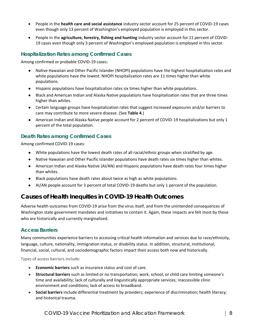- People in the **health care and social assistance** industry sector account for 25 percent of COVID-19 cases even though only 13 percent of Washington's employed population is employed in this sector.
- People in the **agriculture, forestry, fishing and hunting** industry sector account for 11 percent of COVID-19 cases even though only 3 percent of Washington's employed population is employed in this sector.

### **Hospitalization Rates among Confirmed Cases**

Among confirmed or probable COVID-19 cases:

- Native Hawaiian and Other Pacific Islander (NHOPI) populations have the highest hospitalization rates and white populations have the lowest. NHOPI hospitalization rates are 11 times higher than white populations.
- Hispanic populations have hospitalization rates six times higher than white populations.
- Black and American Indian and Alaska Native populations have hospitalization rates that are three times higher than whites.
- Certain language groups have hospitalization rates that suggest increased exposures and/or barriers to care may contribute to more severe disease. (See **Table 4**.)
- American Indian and Alaska Native people account for 2 percent of COVID-19 hospitalizations but only 1 percent of the total population.

### **Death Rates among Confirmed Cases**

Among confirmed COVID-19 cases:

- White populations have the lowest death rates of all racial/ethnic groups when stratified by age.
- Native Hawaiian and Other Pacific Islander populations have death rates six times higher than whites.
- American Indian and Alaska Native (AI/AN) and Hispanic populations have death rates four times higher than whites.
- Black populations have death rates about twice as high as white populations.
- AI/AN people account for 3 percent of total COVID-19 deaths but only 1 percent of the population.

# **Causes of Health Inequities in COVID-19 Health Outcomes**

Adverse health outcomes from COVID-19 arise from the virus itself, and from the unintended consequences of Washington state government mandates and initiatives to contain it. Again, these impacts are felt most by those who are historically and currently marginalized.

### **Access Barriers**

Many communities experience barriers to accessing critical health information and services due to race/ethnicity, language, culture, nationality, immigration status, or disability status. In addition, structural, institutional, financial, social, cultural, and sociodemographic factors impact their access both now and historically.

Types of access barriers include:

- **Economic barriers** such as insurance status and cost of care.
- **Structural barriers** such as limited or no transportation; work, school, or child care limiting someone's time and availability; lack of culturally and linguistically appropriate services; inaccessible clinic environment and conditions; lack of access to broadband.
- Social barriers include differential treatment by providers; experience of discrimination; health literacy; and historical trauma.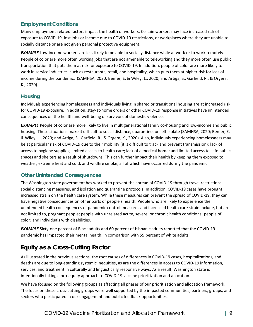### **Employment Conditions**

Many employment-related factors impact the health of workers. Certain workers may face increased risk of exposure to COVID-19, lost jobs or income due to COVID-19 restrictions, or workplaces where they are unable to socially distance or are not given personal protective equipment.

*EXAMPLE* Low-income workers are less likely to be able to socially distance while at work or to work remotely. People of color are more often working jobs that are not amenable to teleworking and they more often use public transportation that puts them at risk for exposure to COVID-19. In addition, people of color are more likely to work in service industries, such as restaurants, retail, and hospitality, which puts them at higher risk for loss of income during the pandemic. (SAMHSA, 2020; Benfer, E. & Wiley, L., 2020; and Artiga, S., Garfield, R., & Orgera, K., 2020).

### **Housing**

Individuals experiencing homelessness and individuals living in shared or transitional housing are at increased risk for COVID-19 exposure. In addition, stay-at-home orders or other COVID-19 response initiatives have unintended consequences on the health and well-being of survivors of domestic violence.

*EXAMPLE* People of color are more likely to live in multigenerational family co-housing and low-income and public housing. These situations make it difficult to social distance, quarantine, or self-isolate (SAMHSA, 2020; Benfer, E. & Wiley, L., 2020; and Artiga, S., Garfield, R., & Orgera, K., 2020). Also, individuals experiencing homelessness may be at particular risk of COVID-19 due to their mobility (it is difficult to track and prevent transmission); lack of access to hygiene supplies; limited access to health care; lack of a medical home; and limited access to safe public spaces and shelters as a result of shutdowns. This can further impact their health by keeping them exposed to weather, extreme heat and cold, and wildfire smoke, all of which have occurred during the pandemic.

### **Other Unintended Consequences**

The Washington state government has worked to prevent the spread of COVID-19 through travel restrictions, social distancing measures, and isolation and quarantine protocols. In addition, COVID-19 cases have brought increased strain on the health care system. While these measures can prevent the spread of COVID-19, they can have negative consequences on other parts of people's health. People who are likely to experience the unintended health consequences of pandemic control measures and increased health care strain include, but are not limited to, pregnant people; people with unrelated acute, severe, or chronic health conditions; people of color; and individuals with disabilities.

*EXAMPLE* Sixty-one percent of Black adults and 60 percent of Hispanic adults reported that the COVID-19 pandemic has impacted their mental health, in comparison with 55 percent of white adults.

# **Equity as a Cross-Cutting Factor**

As illustrated in the previous sections, the root causes of differences in COVID-19 cases, hospitalizations, and deaths are due to long-standing systemic inequities, as are the differences in access to COVID-19 information, services, and treatment in culturally and linguistically responsive ways. As a result, Washington state is intentionally taking a pro-equity approach to COVID-19 vaccine prioritization and allocation.

We have focused on the following groups as affecting all phases of our prioritization and allocation framework. The focus on these cross-cutting groups were well supported by the impacted communities, partners, groups, and sectors who participated in our engagement and public feedback opportunities.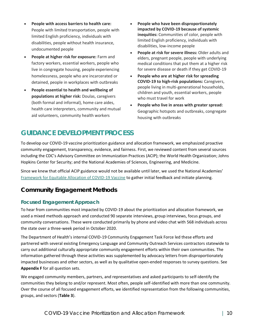- **People with access barriers to health care:** People with limited transportation, people with limited English proficiency, individuals with disabilities, people without health insurance, undocumented people
- **People at higher risk for exposure:** Farm and factory workers, essential workers, people who live in congregate housing, people experiencing homelessness, people who are incarcerated or detained, people in workplaces with outbreaks
- **People essential to health and wellbeing of populations at higher risk:** Doulas, caregivers (both formal and informal), home care aides, health care interpreters, community and mutual aid volunteers, community health workers
- **People who have been disproportionately impacted by COVID-19 because of systemic inequities:** Communities of color, people with limited English proficiency, individuals with disabilities, low-income people
- **People at risk for severe illness:** Older adults and elders, pregnant people, people with underlying medical conditions that put them at a higher risk for severe disease or death if they get COVID-19
- **People who are at higher risk for spreading COVID-19 to high-risk populations:** Caregivers, people living in multi-generational households, children and youth, essential workers, people who must travel for work
- **People who live in areas with greater spread:** Geographic hotspots and outbreaks, congregate housing with outbreaks

# <span id="page-12-0"></span>**GUIDANCE DEVELOPMENT PROCESS**

To develop our COVID-19 vaccine prioritization guidance and allocation framework, we emphasized proactive community engagement, transparency, evidence, and fairness. First, we reviewed content from several sources including the CDC's Advisory Committee on Immunization Practices (ACIP); the World Health Organization; Johns Hopkins Center for Security; and the National Academies of Sciences, Engineering, and Medicine.

Since we knew that official ACIP guidance would not be available until later, we used the National Academies' [Framework for Equitable Allocation of COVID-19 Vaccine](https://www.nationalacademies.org/our-work/a-framework-for-equitable-allocation-of-vaccine-for-the-novel-coronavirus) to gather initial feedback and initiate planning.

# **Community Engagement Methods**

# **Focused Engagement Approach**

To hear from communities most impacted by COVID-19 about the prioritization and allocation framework, we used a mixed methods approach and conducted 90 separate interviews, group interviews, focus groups, and community conversations. These were conducted primarily by phone and video chat with 568 individuals across the state over a three-week period in October 2020.

The Department of Health's internal COVID-19 Community Engagement Task Force led these efforts and partnered with several existing Emergency Language and Community Outreach Services contractors statewide to carry out additional culturally appropriate community engagement efforts within their own communities. The information gathered through these activities was supplemented by advocacy letters from disproportionately impacted businesses and other sectors, as well as by qualitative open-ended responses to survey questions. See **Appendix F** for all question sets.

We engaged community members, partners, and representatives and asked participants to self-identify the communities they belong to and/or represent. Most often, people self-identified with more than one community. Over the course of all focused engagement efforts, we identified representation from the following communities, groups, and sectors (**Table 3**).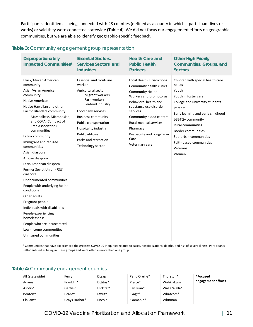Participants identified as being connected with 28 counties (defined as a county in which a participant lives or works) or said they were connected statewide (**Table 4**). We did not focus our engagement efforts on geographic communities, but we are able to identify geographic-specific feedback.

| Disproportionately<br>Impacted Communities <sup>1</sup>                                                                                                                                                                                                                                                                                                                                                                                                                                                                                                                                                                                                                                        | <b>Essential Sectors,</b><br>Services Sectors, and<br><b>Industries</b>                                                                                                                                                                                                                             | <b>Health Care and</b><br><b>Public Health</b><br>Partners                                                                                                                                                                                                                                         | Other High Priority<br>Communities, Groups, and<br>Sectors                                                                                                                                                                                                                                                            |
|------------------------------------------------------------------------------------------------------------------------------------------------------------------------------------------------------------------------------------------------------------------------------------------------------------------------------------------------------------------------------------------------------------------------------------------------------------------------------------------------------------------------------------------------------------------------------------------------------------------------------------------------------------------------------------------------|-----------------------------------------------------------------------------------------------------------------------------------------------------------------------------------------------------------------------------------------------------------------------------------------------------|----------------------------------------------------------------------------------------------------------------------------------------------------------------------------------------------------------------------------------------------------------------------------------------------------|-----------------------------------------------------------------------------------------------------------------------------------------------------------------------------------------------------------------------------------------------------------------------------------------------------------------------|
| Black/African American<br>community<br>Asian/Asian American<br>community<br>Native American<br>Native Hawaiian and other<br>Pacific Islanders community<br>Marshallese, Micronesian,<br>and COFA (Compact of<br>Free Association)<br>communities<br>Latinx community<br>Immigrant and refugee<br>communities<br>Asian diaspora<br>African diaspora<br>Latin American diaspora<br>Former Soviet Union (FSU)<br>diaspora<br>Undocumented communities<br>People with underlying health<br>conditions<br>Older adults<br>Pregnant people<br>Individuals with disabilities<br>People experiencing<br>homelessness<br>People who are incarcerated<br>Low-income communities<br>Uninsured communities | <b>Essential and front-line</b><br>workers<br>Agricultural sector<br>Migrant workers<br>Farmworkers<br>Seafood industry<br>Food bank services<br><b>Business community</b><br>Public transportation<br>Hospitality industry<br><b>Public utilities</b><br>Parks and recreation<br>Technology sector | Local Health Jurisdictions<br>Community health clinics<br>Community Health<br>Workers and promotoras<br>Behavioral health and<br>substance use disorder<br>services<br>Community blood centers<br><b>Rural medical services</b><br>Pharmacy<br>Post-acute and Long-Term<br>Care<br>Veterinary care | Children with special health care<br>needs<br>Youth<br>Youth in foster care<br>College and university students<br>Parents<br>Early learning and early childhood<br>LGBTQ+ community<br><b>Rural communities</b><br><b>Border communities</b><br>Sub-urban communities<br>Faith-based communities<br>Veterans<br>Women |

### **Table 3:** Community engagement group representation

<sup>1</sup> Communities that have experienced the greatest COVID-19 inequities related to cases, hospitalizations, deaths, and risk of severe illness. Participants self-identified as being in these groups and were often in more than one group.

### **Table 4:** Community engagement counties

| All (statewide) | Ferry         | Kitsap     | Pend Oreille* | Thurston*            | *Focused           |
|-----------------|---------------|------------|---------------|----------------------|--------------------|
| Adams           | Franklin*     | Kittitas*  | Pierce*       | Wahkiakum            | engagement efforts |
| Asotin*         | Garfield      | Klickitat* | San Juan*     | Walla Walla*         |                    |
| Benton*         | Grant*        | Lewis*     | Skagit*       | Whatcom <sup>*</sup> |                    |
| Clallam*        | Grays Harbor* | Lincoln    | Skamania*     | Whitman              |                    |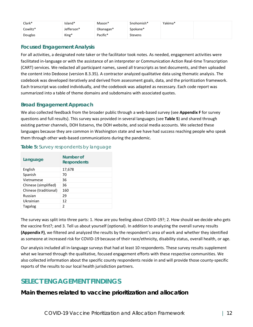| Clark*   | island*    | Mason*    | Snohomish*     | Yakima* |
|----------|------------|-----------|----------------|---------|
| Cowlitz* | Jefferson* | Okanagan* | Spokane*       |         |
| Douglas  | King*      | Pacific*  | <b>Stevens</b> |         |

### **Focused Engagement Analysis**

For all activities, a designated note taker or the facilitator took notes. As needed, engagement activities were facilitated in-language or with the assistance of an interpreter or Communication Action Real-time Transcription (CART) services. We redacted all participant names, saved all transcripts as text documents, and then uploaded the content into Dedoose (version 8.3.35). A contractor analyzed qualitative data using thematic analysis. The codebook was developed iteratively and derived from assessment goals, data, and the prioritization framework. Each transcript was coded individually, and the codebook was adapted as necessary. Each code report was summarized into a table of theme domains and subdomains with associated quotes.

### **Broad Engagement Approach**

We also collected feedback from the broader public through a web-based survey (see **Appendix F** for survey questions and full results). This survey was provided in several languages (see **Table 5**) and shared through existing partner channels, DOH listservs, the DOH website, and social media accounts. We selected these languages because they are common in Washington state and we have had success reaching people who speak them through other web-based communications during the pandemic.

| Language              | Number of<br>Respondents |
|-----------------------|--------------------------|
| English               | 17,678                   |
| Spanish               | 70                       |
| Vietnamese            | 36                       |
| Chinese (simplified)  | 36                       |
| Chinese (traditional) | 160                      |
| Russian               | 29                       |
| Ukrainian             | 12                       |
| <b>Tagalog</b>        | 2                        |

### **Table 5:** Survey respondents by language

The survey was split into three parts: 1. How are you feeling about COVID-19?; 2. How should we decide who gets the vaccine first?; and 3. Tell us about yourself (optional). In addition to analyzing the overall survey results **(Appendix F)**, we filtered and analyzed the results by the respondent's area of work and whether they identified as someone at increased risk for COVID-19 because of their race/ethnicity, disability status, overall health, or age.

Our analysis included all in-language surveys that had at least 10 respondents. These survey results supplement what we learned through the qualitative, focused engagement efforts with these respective communities. We also collected information about the specific county respondents reside in and will provide those county-specific reports of the results to our local health jurisdiction partners.

# <span id="page-14-0"></span>**SELECT ENGAGEMENT FINDINGS**

**Main themes related to vaccine prioritization and allocation**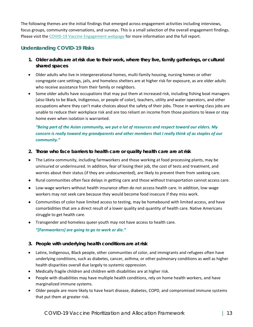The following themes are the initial findings that emerged across engagement activities including interviews, focus groups, community conversations, and surveys. This is a small selection of the overall engagement findings. Please visit the [COVID-19 Vaccine Engagement webpage](https://www.doh.wa.gov/Emergencies/COVID19/VaccineInformation/Engagement/Collaborative) for more information and the full report.

### **Understanding COVID-19 Risks**

- 1. Older adults are at risk due to their work, where they live, family gatherings, or cultural *shared spaces*
- Older adults who live in intergenerational homes, multi-family housing, nursing homes or other congregate care settings, jails, and homeless shelters are at higher risk for exposure, as are older adults who receive assistance from their family or neighbors.
- Some older adults have occupations that may put them at increased risk, including fishing boat managers (also likely to be Black, Indigenous, or people of color), teachers, utility and water operators, and other occupations where they can't make choices about the safety of their jobs. Those in working class jobs are unable to reduce their workplace risk and are too reliant on income from those positions to leave or stay home even when isolation is warranted.

### *"Being part of the Asian community, we put a lot of resources and respect toward our elders. My concern is really toward my grandparents and other members that I really think of as staples of our community."*

- *2. Those who face barriers to health care or quality health care are at risk*
- The Latinx community, including farmworkers and those working at food processing plants, may be uninsured or underinsured. In addition, fear of losing their job, the cost of tests and treatment, and worries about their status (if they are undocumented), are likely to prevent them from seeking care.
- Rural communities often face delays in getting care and those without transportation cannot access care.
- Low-wage workers without health insurance often do not access health care. In addition, low-wage workers may not seek care because they would become food insecure if they miss work.
- Communities of color have limited access to testing, may be homebound with limited access, and have comorbidities that are a direct result of a lower quality and quantity of health care. Native Americans struggle to get health care.
- Transgender and homeless queer youth may not have access to health care. *"[Farmworkers] are going to go to work or die."*
- *3. People with underlying health conditions are at risk*
- Latinx, Indigenous, Black people, other communities of color, and immigrants and refugees often have underlying conditions, such as diabetes, cancer, asthma, or other pulmonary conditions as well as higher health disparities overall due largely to systemic oppression.
- Medically fragile children and children with disabilities are at higher risk.
- People with disabilities may have multiple health conditions, rely on home health workers, and have marginalized immune systems.
- Older people are more likely to have heart disease, diabetes, COPD, and compromised immune systems that put them at greater risk.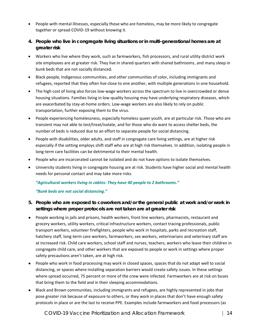- People with mental illnesses, especially those who are homeless, may be more likely to congregate together or spread COVID-19 without knowing it.
- *4. People who live in congregate living situations or in multi-generational homes are at greater risk*
- Workers who live where they work, such as farmworkers, fish processors, and rural utility district work site employees are at greater risk. They live in shared quarters with shared bathrooms, and many sleep in bunk beds that are not socially distanced.
- Black people, Indigenous communities, and other communities of color, including immigrants and refugees, reported that they often live close to one another, with multiple generations in one household.
- The high cost of living also forces low-wage workers across the spectrum to live in overcrowded or dense housing situations. Families living in low-quality housing may have underlying respiratory diseases, which are exacerbated by stay-at-home orders. Low-wage workers are also likely to rely on public transportation, further exposing them to the virus.
- People experiencing homelessness, especially homeless queer youth, are at particular risk. Those who are transient may not able to test/treat/isolate, and for those who do want to access shelter beds, the number of beds is reduced due to an effort to separate people for social distancing.
- People with disabilities, older adults, and staff in congregate care living settings, are at higher risk especially if the setting employs shift staff who are at high risk themselves. In addition, isolating people in long-term care facilities can be detrimental to their mental health.
- People who are incarcerated cannot be isolated and do not have options to isolate themselves.
- University students living in congregate housing are at risk. Students have higher social and mental health needs for personal contact and may take more risks.

### *"Agricultural workers living in cabins: They have 40 people to 2 bathrooms."*

### *"Bunk beds are not social distancing."*

- *5. People who are exposed to coworkers and/or the general public at work and/or work in settings where proper protocols are not taken are at greater risk*
- People working in jails and prisons, health workers, front line workers, pharmacists, restaurant and grocery workers, utility workers, critical infrastructure workers, contact tracing professionals, public transport workers, volunteer firefighters, people who work in hospitals, parks and recreation staff, hatchery staff, long-term care workers, farmworkers, sex workers, veterinarians and veterinary staff are at increased risk. Child care workers, school staff and nurses, teachers, workers who leave their children in congregate child care, and other workers that are exposed to people or work in settings where proper safety precautions aren't taken, are at high risk.
- People who work in food processing may work in closed spaces, spaces that do not adapt well to social distancing, or spaces where installing separation barriers would create safety issues. In these settings where spread occurred, 75 percent or more of the crew were infected. Farmworkers are at risk on buses that bring them to the field and in their sleeping accommodations.
- Black and Brown communities, including immigrants and refugees, are highly represented in jobs that pose greater risk because of exposure to others, or they work in places that don't have enough safety protocols in place or are the last to receive PPE. Examples include farmworkers and food processors (as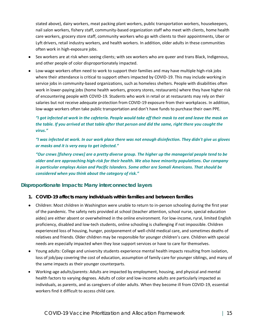stated above), dairy workers, meat packing plant workers, public transportation workers, housekeepers, nail salon workers, fishery staff, community-based organization staff who meet with clients, home health care workers, grocery store staff, community workers who go with clients to their appointments, Uber or Lyft drivers, retail industry workers, and health workers. In addition, older adults in these communities often work in high-exposure jobs.

- Sex workers are at risk when seeing clients; with sex workers who are queer and trans Black, Indigenous, and other people of color disproportionately impacted.
- Low-wage workers often need to work to support their families and may have multiple high-risk jobs where their attendance is critical to support others impacted by COVID-19. This may include working in service jobs in community-based organizations, such as homeless shelters. People with disabilities often work in lower-paying jobs (home health workers, grocery stores, restaurants) where they have higher risk of encountering people with COVID-19. Students who work in retail or at restaurants may rely on their salaries but not receive adequate protection from COVID-19 exposure from their workplaces. In addition, low-wage workers often take public transportation and don't have funds to purchase their own PPE.

### *"I got infected at work in the cafeteria. People would take off their mask to eat and leave the mask on the table. If you arrived at that table after that person and did the same, right there you caught the virus."*

*"I was infected at work. In our work place there was not enough disinfection. They didn't give us gloves or masks and it is very easy to get infected."*

*"Our crews [fishery crews] are a pretty diverse group. The higher up the managerial people tend to be older and are approaching high-risk for their health. We also have minority populations. Our company in particular employs Asian and Pacific Islanders. Some other are Somali Americans. That should be considered when you think about the category of risk."*

### **Disproportionate Impacts: Many interconnected layers**

- *1. COVID-19 affects many individuals within families and between families*
- Children: Most children in Washington were unable to return to in-person schooling during the first year of the pandemic. The safety nets provided at school (teacher attention, school nurse, special education aides) are either absent or overwhelmed in the online environment. For low-income, rural, limited English proficiency, disabled and low-tech students, online schooling is challenging if not impossible. Children experienced loss of housing, hunger, postponement of well-child medical care, and sometimes deaths of relatives and friends. Older children may be responsible for younger children's care. Children with special needs are especially impacted when they lose support services or have to care for themselves.
- Young adults: College and university students experience mental health impacts resulting from isolation, loss of job/pay covering the cost of education, assumption of family care for younger siblings, and many of the same impacts as their younger counterparts.
- Working-age adults/parents: Adults are impacted by employment, housing, and physical and mental health factors to varying degrees. Adults of color and low-income adults are particularly impacted as individuals, as parents, and as caregivers of older adults. When they become ill from COVID-19, essential workers find it difficult to access child care.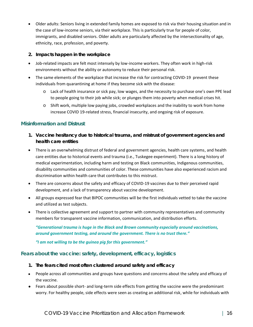- Older adults: Seniors living in extended family homes are exposed to risk via their housing situation and in the case of low-income seniors, via their workplace. This is particularly true for people of color, immigrants, and disabled seniors. Older adults are particularly affected by the intersectionality of age, ethnicity, race, profession, and poverty.
- *2. Impacts happen in the workplace*
- Job-related impacts are felt most intensely by low-income workers. They often work in high-risk environments without the ability or autonomy to reduce their personal risk.
- The same elements of the workplace that increase the risk for contracting COVID-19 prevent these individuals from quarantining at home if they become sick with the disease:
	- o Lack of health insurance or sick pay, low wages, and the necessity to purchase one's own PPE lead to people going to their job while sick; or plunges them into poverty when medical crises hit.
	- $\circ$  Shift work, multiple low paying jobs, crowded workplaces and the inability to work from home increase COVID 19-related stress, financial insecurity, and ongoing risk of exposure.

### **Misinformation and Distrust**

- *1. Vaccine hesitancy due to historical trauma, and mistrust of government agencies and health care entities*
- There is an overwhelming distrust of federal and government agencies, health care systems, and health care entities due to historical events and trauma (i.e., Tuskegee experiment). There is a long history of medical experimentation, including harm and testing on Black communities, Indigenous communities, disability communities and communities of color. These communities have also experienced racism and discrimination within health care that contributes to this mistrust.
- There are concerns about the safety and efficacy of COVID-19 vaccines due to their perceived rapid development, and a lack of transparency about vaccine development.
- All groups expressed fear that BIPOC communities will be the first individuals vetted to take the vaccine and utilized as test subjects.
- There is collective agreement and support to partner with community representatives and community members for transparent vaccine information, communication, and distribution efforts.

*"Generational trauma is huge in the Black and Brown community especially around vaccinations, around government testing, and around the government. There is no trust there."*

*"I am not willing to be the guinea pig for this government."*

### **Fears about the vaccine: safety, development, efficacy, logistics**

- *1. The fears cited most often clustered around safety and efficacy*
- People across all communities and groups have questions and concerns about the safety and efficacy of the vaccine.
- Fears about possible short- and long-term side effects from getting the vaccine were the predominant worry. For healthy people, side effects were seen as creating an additional risk, while for individuals with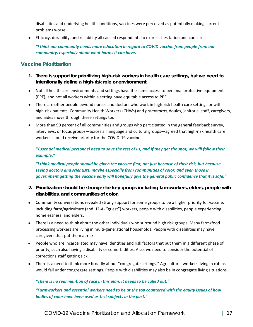disabilities and underlying health conditions, vaccines were perceived as potentially making current problems worse.

● Efficacy, durability, and reliability all caused respondents to express hesitation and concern.

*"I think our community needs more education in regard to COVID vaccine from people from our community, especially about what harms it can have."*

### **Vaccine Prioritization**

- *1. There is support for prioritizing high-risk workers in health care settings, but we need to intentionally define a high-risk role or environment*
- Not all health care environments and settings have the same access to personal protective equipment (PPE), and not all workers within a setting have equitable access to PPE.
- There are other people beyond nurses and doctors who work in high-risk health care settings or with high-risk patients. Community Health Workers (CHWs) and *promotoras*, doulas, janitorial staff, caregivers, and aides move through these settings too.
- More than 90 percent of all communities and groups who participated in the general feedback survey, interviews, or focus groups—across all language and cultural groups—agreed that high-risk health care workers should receive priority for the COVID-19 vaccine.

*"Essential medical personnel need to save the rest of us, and if they get the shot, we will follow their example."*

*"I think medical people should be given the vaccine first, not just because of their risk, but because seeing doctors and scientists, maybe especially from communities of color, and even those in government getting the vaccine early will hopefully give the general public confidence that it is safe."*

- *2. Prioritization should be stronger for key groups including farmworkers, elders, people with disabilities, and communities of color.*
- Community conversations revealed strong support for some groups to be a higher priority for vaccine, including farm/agriculture (and H2-A- "guest") workers, people with disabilities, people experiencing homelessness, and elders.
- There is a need to think about the other individuals who surround high risk groups. Many farm/food processing workers are living in multi-generational households. People with disabilities may have caregivers that put them at risk.
- People who are incarcerated may have identities and risk factors that put them in a different phase of priority, such also having a disability or comorbidities. Also, we need to consider the potential of corrections staff getting sick.
- There is a need to think more broadly about "congregate settings." Agricultural workers living in cabins would fall under congregate settings. People with disabilities may also be in congregate living situations.

### *"There is no real mention of race in this plan. It needs to be called out."*

*"Farmworkers and essential workers need to be at the top countered with the equity issues of how bodies of color have been used as test subjects in the past."*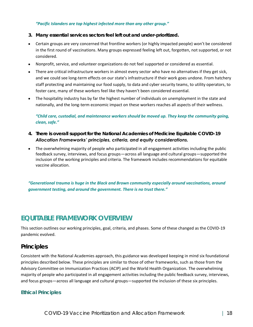### *"Pacific Islanders are top highest infected more than any other group."*

- *3. Many essential services sectors feel left out and under-prioritized.*
- Certain groups are very concerned that frontline workers (or highly impacted people) won't be considered in the first round of vaccinations. Many groups expressed feeling left out, forgotten, not supported, or not considered.
- Nonprofit, service, and volunteer organizations do not feel supported or considered as essential.
- There are critical infrastructure workers in almost every sector who have no alternatives if they get sick, and we could see long-term effects on our state's infrastructure if their work goes undone. From hatchery staff protecting and maintaining our food supply, to data and cyber security teams, to utility operators, to foster care, many of these workers feel like they haven't been considered essential.
- The hospitality industry has by far the highest number of individuals on unemployment in the state and nationally, and the long-term economic impact on these workers reaches all aspects of their wellness.

*"Child care, custodial, and maintenance workers should be moved up. They keep the community going, clean, safe."*

- *4. There is overall support for the National Academies of Medicine Equitable COVID-19 Allocation Frameworks' principles, criteria, and equity considerations.*
- The overwhelming majority of people who participated in all engagement activities including the public feedback survey, interviews, and focus groups—across all language and cultural groups—supported the inclusion of the working principles and criteria. The framework includes recommendations for equitable vaccine allocation.

*"Generational trauma is huge in the Black and Brown community especially around vaccinations, around government testing, and around the government. There is no trust there."*

# <span id="page-20-0"></span>**EQUITABLE FRAMEWORK OVERVIEW**

This section outlines our working principles, goal, criteria, and phases. Some of these changed as the COVID-19 pandemic evolved.

# **Principles**

Consistent with the National Academies approach, this guidance was developed keeping in mind six foundational principles described below. These principles are similar to those of other frameworks, such as those from the Advisory Committee on Immunization Practices (ACIP) and the World Health Organization. The overwhelming majority of people who participated in all engagement activities including the public feedback survey, interviews, and focus groups—across all language and cultural groups—supported the inclusion of these six principles.

### **Ethical Principles**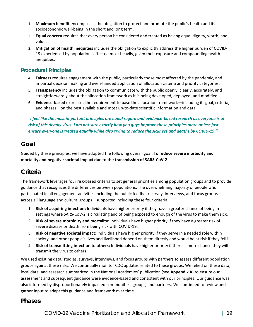- 1. **Maximum benefit** encompasses the obligation to protect and promote the public's health and its socioeconomic well-being in the short and long term.
- 2. **Equal concern** requires that every person be considered and treated as having equal dignity, worth, and value.
- 3. **Mitigation of health inequities** includes the obligation to explicitly address the higher burden of COVID-19 experienced by populations affected most heavily, given their exposure and compounding health inequities.

### **Procedural Principles**

- 4. **Fairness** requires engagement with the public, particularly those most affected by the pandemic, and impartial decision making and even-handed application of allocation criteria and priority categories.
- 5. **Transparency** includes the obligation to communicate with the public openly, clearly, accurately, and straightforwardly about the allocation framework as it is being developed, deployed, and modified.
- 6. **Evidence-based** expresses the requirement to base the allocation framework—including its goal, criteria, and phases—on the best available and most up-to-date scientific information and data.

*"I feel like the most important principles are equal regard and evidence-based research as everyone is at risk of this deadly virus. I am not sure exactly how you guys improve these principles more or less just ensure everyone is treated equally while also trying to reduce the sickness and deaths by COVID-19."*

# **Goal**

Guided by these principles, we have adopted the following overall goal: **To reduce severe morbidity and mortality and negative societal impact due to the transmission of SARS-CoV-2**.

# **Criteria**

The framework leverages four risk-based criteria to set general priorities among population groups and to provide guidance that recognizes the differences between populations. The overwhelming majority of people who participated in all engagement activities including the public feedback survey, interviews, and focus groups across all language and cultural groups—supported including these four criteria:

- 1. **Risk of acquiring infection:** Individuals have higher priority if they have a greater chance of being in settings where SARS-CoV-2 is circulating and of being exposed to enough of the virus to make them sick.
- 2. **Risk of severe morbidity and mortality:** Individuals have higher priority if they have a greater risk of severe disease or death from being sick with COVID-19.
- 3. **Risk of negative societal impact:** Individuals have higher priority if they serve in a needed role within society, and other people's lives and livelihood depend on them directly and would be at risk if they fell ill.
- 4. **Risk of transmitting infection to others:** Individuals have higher priority if there is more chance they will transmit the virus to others.

We used existing data, studies, surveys, interviews, and focus groups with partners to assess different population groups against these risks. We continually monitor CDC updates related to these groups. We relied on these data, local data, and research summarized in the National Academies' publication (see **Appendix A**) to ensure our assessment and subsequent guidance were evidence-based and consistent with our principles. Our guidance was also informed by disproportionately impacted communities, groups, and partners. We continued to review and gather input to adapt this guidance and framework over time.

### **Phases**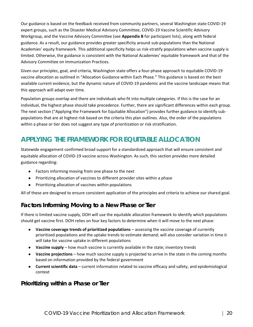Our guidance is based on the feedback received from community partners, several Washington state COVID-19 expert groups, such as the Disaster Medical Advisory Committee, COVID-19 Vaccine Scientific Advisory Workgroup, and the Vaccine Advisory Committee (see **Appendix B** for participant lists), along with federal guidance. As a result, our guidance provides greater specificity around sub-populations than the National Academies' equity framework. This additional specificity helps us risk-stratify populations when vaccine supply is limited. Otherwise, the guidance is consistent with the National Academies' equitable framework and that of the Advisory Committee on Immunization Practices.

Given our principles, goal, and criteria, Washington state offers a four-phase approach to equitable COVID-19 vaccine allocation as outlined in "Allocation Guidance within Each Phase." This guidance is based on the best available current evidence, but the dynamic nature of COVID-19 pandemic and the vaccine landscape means that this approach will adapt over time.

Population groups overlap and there are individuals who fit into multiple categories. If this is the case for an individual, the highest phase should take precedence. Further, there are significant differences within each group. The next section ("Applying the Framework for Equitable Allocation") provides further guidance to identify subpopulations that are at highest risk based on the criteria this plan outlines. Also, the order of the populations within a phase or tier does not suggest any type of prioritization or risk stratification.

# <span id="page-22-0"></span>**APPLYING THE FRAMEWORK FOR EQUITABLE ALLOCATION**

Statewide engagement confirmed broad support for a standardized approach that will ensure consistent and equitable allocation of COVID-19 vaccine across Washington. As such, this section provides more detailed guidance regarding:

- Factors informing moving from one phase to the next
- Prioritizing allocation of vaccines to different provider sites within a phase
- Prioritizing allocation of vaccines within populations

All of these are designed to ensure consistent application of the principles and criteria to achieve our shared goal.

# **Factors Informing Moving to a New Phase or Tier**

If there is limited vaccine supply, DOH will use the equitable allocation framework to identify which populations should get vaccine first. DOH relies on four key factors to determine when it will move to the next phase:

- **Vaccine coverage trends of prioritized populations** assessing the vaccine coverage of currently prioritized populations and the uptake trends to estimate demand; will also consider variation in time it will take for vaccine uptake in different populations
- **Vaccine supply** how much vaccine is currently available in the state; inventory trends
- **Vaccine projections** how much vaccine supply is projected to arrive in the state in the coming months based on information provided by the federal government
- **Current scientific data** current information related to vaccine efficacy and safety, and epidemiological context

# **Prioritizing within a Phase or Tier**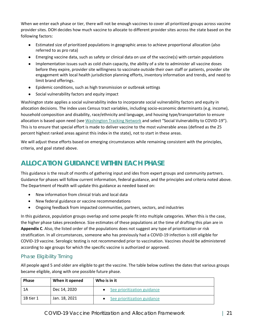When we enter each phase or tier, there will not be enough vaccines to cover all prioritized groups across vaccine provider sites. DOH decides how much vaccine to allocate to different provider sites across the state based on the following factors:

- Estimated size of prioritized populations in geographic areas to achieve proportional allocation (also referred to as pro rata)
- Emerging vaccine data, such as safety or clinical data on use of the vaccine(s) with certain populations
- Implementation issues such as cold chain capacity, the ability of a site to administer all vaccine doses before they expire, provider site willingness to vaccinate outside their own staff or patients, provider site engagement with local health jurisdiction planning efforts, inventory information and trends, and need to limit brand offerings.
- Epidemic conditions, such as high transmission or outbreak settings
- Social vulnerability factors and equity impact

Washington state applies a social vulnerability index to incorporate social vulnerability factors and equity in allocation decisions. The index uses Census tract variables, including socio-economic determinants (e.g. income), household composition and disability, race/ethnicity and language, and housing type/transportation to ensure allocation is based upon need (see [Washington Tracking Network](https://fortress.wa.gov/doh/wtn/WTNIBL/) and select "Social Vulnerability to COVID-19"). This is to ensure that special effort is made to deliver vaccine to the most vulnerable areas (defined as the 25 percent highest ranked areas against this index in the state), not to start in these areas.

<span id="page-23-0"></span>We will adjust these efforts based on emerging circumstances while remaining consistent with the principles, criteria, and goal stated above.

# **ALLOCATION GUIDANCE WITHIN EACH PHASE**

This guidance is the result of months of gathering input and ides from expert groups and community partners. Guidance for phases will follow current information, federal guidance, and the principles and criteria noted above. The Department of Health will update this guidance as needed based on:

- New information from clinical trials and local data
- New federal guidance or vaccine recommendations
- Ongoing feedback from impacted communities, partners, sectors, and industries

In this guidance, population groups overlap and some people fit into multiple categories. When this is the case, the higher phase takes precedence. Size estimates of these populations at the time of drafting this plan are in **Appendix C**. Also, the listed order of the populations does not suggest any type of prioritization or risk stratification. In all circumstances, someone who has previously had a COVID-19 infection is still eligible for COVID-19 vaccine. Serologic testing is not recommended prior to vaccination. Vaccines should be administered according to age groups for which the specific vaccine is authorized or approved.

# Phase Eligibility Timing

All people aged 5 and older are eligible to get the vaccine. The table below outlines the dates that various groups became eligible, along with one possible future phase.

| <b>Phase</b> | When it opened | Who is in it                |
|--------------|----------------|-----------------------------|
| 1A           | Dec 14, 2020   | See prioritization guidance |
| 1B tier 1    | Jan. 18, 2021  | See prioritization guidance |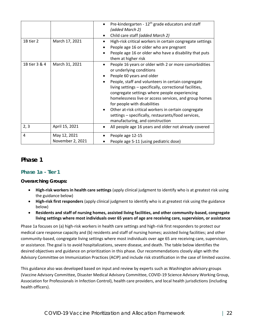|               |                                  | Pre-kindergarten - 12 <sup>th</sup> grade educators and staff<br>(added March 2)<br>Child care staff (added March 2)                                                                                                                                                                                                                                                                                                                                                                                                         |
|---------------|----------------------------------|------------------------------------------------------------------------------------------------------------------------------------------------------------------------------------------------------------------------------------------------------------------------------------------------------------------------------------------------------------------------------------------------------------------------------------------------------------------------------------------------------------------------------|
| 1B tier 2     | March 17, 2021                   | High-risk critical workers in certain congregate settings<br>People age 16 or older who are pregnant<br>People age 16 or older who have a disability that puts<br>them at higher risk                                                                                                                                                                                                                                                                                                                                        |
| 1B tier 3 & 4 | March 31, 2021                   | People 16 years or older with 2 or more comorbidities<br>or underlying conditions<br>People 60 years and older<br>People, staff and volunteers in certain congregate<br>living settings - specifically, correctional facilities,<br>congregate settings where people experiencing<br>homelessness live or access services, and group homes<br>for people with disabilities<br>Other at-risk critical workers in certain congregate<br>settings - specifically, restaurants/food services,<br>manufacturing, and construction |
| 2, 3          | April 15, 2021                   | All people age 16 years and older not already covered<br>٠                                                                                                                                                                                                                                                                                                                                                                                                                                                                   |
| 4             | May 12, 2021<br>November 2, 2021 | People age 12-15<br>People age 5-11 (using pediatric dose)                                                                                                                                                                                                                                                                                                                                                                                                                                                                   |

### **Phase 1**

### **Phase 1a - Tier 1**

*Overarching Groups:*

- **High-risk workers in health care settings** (apply clinical judgment to identify who is at greatest risk using the guidance below)
- **High-risk first responders** (apply clinical judgment to identify who is at greatest risk using the guidance below)
- **Residents and staff of nursing homes, assisted living facilities, and other community-based, congregate living settings where most individuals over 65 years of age are receiving care, supervision, or assistance**

Phase 1a focuses on (a) high-risk workers in health care settings and high-risk first responders to protect our medical care response capacity and (b) residents and staff of nursing homes; assisted living facilities; and other community-based, congregate living settings where most individuals over age 65 are receiving care, supervision, or assistance. The goal is to avoid hospitalizations, severe disease, and death. The table below identifies the desired objectives and guidance on prioritization in this phase. Our recommendations closely align with the Advisory Committee on Immunization Practices (ACIP) and include risk stratification in the case of limited vaccine.

This guidance also was developed based on input and review by experts such as Washington advisory groups (Vaccine Advisory Committee, Disaster Medical Advisory Committee, COVID-19 Science Advisory Working Group, Association for Professionals in Infection Control), health care providers, and local health jurisdictions (including health officers).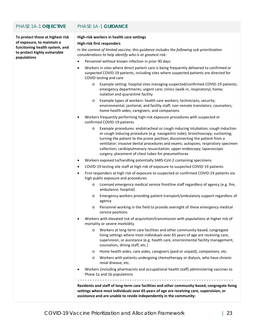### PHASE 1A-1 **OBJECTIVE** PHASE 1A-1 **GUIDANCE**

**To protect those at highest risk of exposure, to maintain a functioning health system, and to protect highly vulnerable populations**

#### **High-risk workers in health care settings**

#### **High-risk first responders**

*In the context of limited vaccine, this guidance includes the following sub-prioritization considerations to help identify who is at greatest risk:*

- Personnel without known infection in prior 90 days
- Workers in sites where direct patient care is being frequently delivered to confirmed or suspected COVID-19 patients, including sites where suspected patients are directed for COVID testing and care
	- o Example setting: hospital sites managing suspected/confirmed COVID-19 patients; emergency departments; urgent care; clinics (walk-in, respiratory); home; isolation and quarantine facility
	- o Example types of workers: health care workers; technicians; security; environmental, janitorial, and facility staff; non-remote translators; counselors; home health aides, caregivers, and companions
- Workers frequently performing high-risk exposure procedures with suspected or confirmed COVID-19 patients
	- o Example procedures: endotracheal or cough inducing intubation; cough induction or cough inducing procedure (e.g. nasogastric tube); bronchoscopy; suctioning; turning the patient to the prone position; disconnecting the patient from a ventilator; invasive dental procedures and exams; autopsies; respiratory specimen collection; cardiopulmonary resuscitation; upper endoscopy; laparoscopic surgery; placement of chest tubes for pneumothorax
- Workers exposed to/handling potentially SARS-CoV-2 containing specimens
- COVID-19 testing site staff at high risk of exposure to suspected COVID-19 patients
- First responders at high risk of exposure to suspected or confirmed COVID-19 patients via high public exposure and procedures
	- o Licensed emergency medical service frontline staff regardless of agency (e.g. fire, ambulance, hospital)
	- o Emergency workers providing patient transport/ambulatory support regardless of agency
	- o Personnel working in the field to provide oversight of these emergency medical service positions
- Workers with elevated risk of acquisition/transmission with populations at higher risk of mortality or severe morbidity
	- o Workers at long-term care facilities and other community-based, congregate living settings where most individuals over 65 years of age are receiving care, supervision, or assistance (e.g. health care, environmental facility management, counselors, dining staff, etc.)
	- o Home health aides, care aides, caregivers (paid or unpaid), companions, etc.
	- o Workers with patients undergoing chemotherapy or dialysis, who have chronic renal disease, etc.
- Workers (including pharmacists and occupational health staff) administering vaccines to Phase 1a and 1b populations

---------------------------------------------------------------

**Residents and staff of long-term care facilities and other community-based, congregate living settings where most individuals over 65 years of age are receiving care, supervision, or assistance and are unable to reside independently in the community:**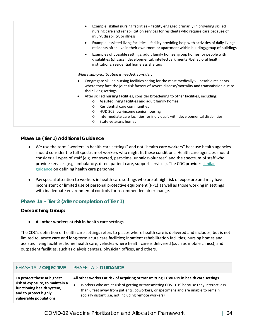| Example: skilled nursing facilities - facility engaged primarily in providing skilled<br>nursing care and rehabilitation services for residents who require care because of<br>injury, disability, or illness                                                                                                                                                                                 |
|-----------------------------------------------------------------------------------------------------------------------------------------------------------------------------------------------------------------------------------------------------------------------------------------------------------------------------------------------------------------------------------------------|
| Example: assisted living facilities - facility providing help with activities of daily living;<br>$\bullet$<br>residents often live in their own room or apartment within building/group of buildings                                                                                                                                                                                         |
| Examples of possible settings: adult family homes; group homes for people with<br>disabilities (physical, developmental, intellectual); mental/behavioral health<br>institutions; residential homeless shelters                                                                                                                                                                               |
| Where sub-prioritization is needed, consider:                                                                                                                                                                                                                                                                                                                                                 |
| Congregate skilled nursing facilities caring for the most medically vulnerable residents<br>$\bullet$<br>where they face the joint risk factors of severe disease/mortality and transmission due to<br>their living settings                                                                                                                                                                  |
| After skilled nursing facilities, consider broadening to other facilities, including:<br>$\bullet$<br>Assisted living facilities and adult family homes<br>$\circ$<br>Residential care communities<br>$\Omega$<br>HUD 202 low-income senior housing<br>$\circ$<br>Intermediate care facilities for individuals with developmental disabilities<br>$\circ$<br>State veterans homes<br>$\Omega$ |

### *Phase 1a (Tier 1) Additional Guidance*

- We use the term "workers in health care settings" and not "health care workers" because health agencies should consider the full spectrum of workers who might fit these conditions. Health care agencies should consider all types of staff (e.g. contracted, part-time, unpaid/volunteer) and the spectrum of staff who provide services (e.g. ambulatory, direct patient care, support services). The CDC provides [similar](https://www.cdc.gov/infectioncontrol/guidelines/healthcare-personnel/appendix/terminology.html)  [guidance](https://www.cdc.gov/infectioncontrol/guidelines/healthcare-personnel/appendix/terminology.html) on defining health care personnel.
- Pay special attention to workers in health care settings who are at high risk of exposure and may have inconsistent or limited use of personal protective equipment (PPE) as well as those working in settings with inadequate environmental controls for recommended air exchange.

**Phase 1a - Tier 2 (after completion of Tier 1)**

*Overarching Group:*

• **All other workers at risk in health care settings**

The CDC's definition of health care settings refers to places where health care is delivered and includes, but is not limited to, acute care and long-term acute care facilities; inpatient rehabilitation facilities; nursing homes and assisted living facilities; home health care; vehicles where health care is delivered (such as mobile clinics); and outpatient facilities, such as dialysis centers, physician offices, and others.

| PHASE 1A-2 OBJECTIVE                                                                                                                            | <b>PHASE 1A-2 GUIDANCE</b>                                                                                                                                                                                                                                                                                                    |
|-------------------------------------------------------------------------------------------------------------------------------------------------|-------------------------------------------------------------------------------------------------------------------------------------------------------------------------------------------------------------------------------------------------------------------------------------------------------------------------------|
| To protect those at highest<br>risk of exposure, to maintain a<br>functioning health system,<br>and to protect highly<br>vulnerable populations | All other workers at risk of acquiring or transmitting COVID-19 in health care settings<br>Workers who are at risk of getting or transmitting COVID-19 because they interact less<br>than 6 feet away from patients, coworkers, or specimens and are unable to remain<br>socially distant (i.e, not including remote workers) |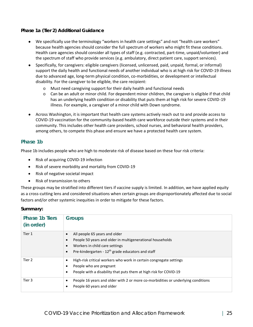### *Phase 1a (Tier 2) Additional Guidance*

- We specifically use the terminology "workers in health care settings" and not "health care workers" because health agencies should consider the full spectrum of workers who might fit these conditions. Health care agencies should consider all types of staff (e.g. contracted, part-time, unpaid/volunteer) and the spectrum of staff who provide services (e.g. ambulatory, direct patient care, support services).
- Specifically, for caregivers: eligible caregivers (licensed, unlicensed, paid, unpaid, formal, or informal) support the daily health and functional needs of another individual who is at high risk for COVID-19 illness due to advanced age, long-term physical condition, co-morbidities, or development or intellectual disability. For the caregiver to be eligible, the care recipient:
	- o Must need caregiving support for their daily health and functional needs
	- $\circ$  Can be an adult or minor child. For dependent minor children, the caregiver is eligible if that child has an underlying health condition or disability that puts them at high risk for severe COVID-19 illness. For example, a caregiver of a minor child with Down syndrome.
- Across Washington, it is important that health care systems actively reach out to and provide access to COVID-19 vaccination for the community-based health care workforce outside their systems and in their community. This includes other health care providers, school nurses, and behavioral health providers, among others, to compete this phase and ensure we have a protected health care system.

### **Phase 1b**

Phase 1b includes people who are high to moderate risk of disease based on these four risk criteria:

- Risk of acquiring COVID-19 infection
- Risk of severe morbidity and mortality from COVID-19
- Risk of negative societal impact
- Risk of transmission to others

These groups may be stratified into different tiers if vaccine supply is limited. In addition, we have applied equity as a cross-cutting lens and considered situations when certain groups are disproportionately affected due to social factors and/or other systemic inequities in order to mitigate for these factors.

### *Summary:*

| Phase 1b Tiers<br>(in order) | Groups                                                                                                                                                                                                                                            |
|------------------------------|---------------------------------------------------------------------------------------------------------------------------------------------------------------------------------------------------------------------------------------------------|
| Tier 1                       | All people 65 years and older<br>$\bullet$<br>People 50 years and older in multigenerational households<br>$\bullet$<br>Workers in child care settings<br>$\bullet$<br>Pre-kindergarten - 12 <sup>th</sup> grade educators and staff<br>$\bullet$ |
| Tier 2                       | High-risk critical workers who work in certain congregate settings<br>$\bullet$<br>People who are pregnant<br>People with a disability that puts them at high risk for COVID-19<br>$\bullet$                                                      |
| Tier <sub>3</sub>            | People 16 years and older with 2 or more co-morbidities or underlying conditions<br>$\bullet$<br>People 60 years and older<br>$\bullet$                                                                                                           |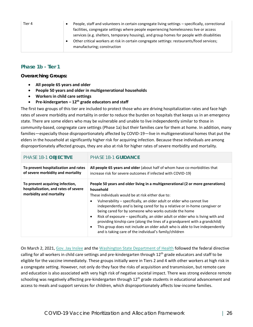| Tier 4 | People, staff and volunteers in certain congregate living settings - specifically, correctional |
|--------|-------------------------------------------------------------------------------------------------|
|        |                                                                                                 |
|        | facilities, congregate settings where people experiencing homelessness live or access           |
|        | services (e.g. shelters, temporary housing), and group homes for people with disabilities       |
|        | Other critical workers at risk in certain congregate settings: restaurants/food services;       |
|        | manufacturing; construction                                                                     |
|        |                                                                                                 |

### **Phase 1b - Tier 1**

*Overarching Groups:*

- **All people 65 years and older**
- **People 50 years and older in multigenerational households**
- **Workers in child care settings**
- **Pre-kindergarten – 12th grade educators and staff**

The first two groups of this tier are included to protect those who are driving hospitalization rates and face high rates of severe morbidity and mortality in order to reduce the burden on hospitals that keeps us in an emergency state. There are some elders who may be vulnerable and unable to live independently similar to those in community-based, congregate care settings (Phase 1a) but their families care for them at home. In addition, many families—especially those disproportionately affected by COVID-19—live in multigenerational homes that put the elders in the household at significantly higher risk for acquiring infection. Because these individuals are among disproportionately affected groups, they are also at risk for higher rates of severe morbidity and mortality.

| PHASE 1B-1 OBJECTIVE                                                                               | <b>PHASE 1B-1 GUIDANCE</b>                                                                                                                                                                                                                                                                                                                                                                                                                                                                                                                                                                                                                                                                              |
|----------------------------------------------------------------------------------------------------|---------------------------------------------------------------------------------------------------------------------------------------------------------------------------------------------------------------------------------------------------------------------------------------------------------------------------------------------------------------------------------------------------------------------------------------------------------------------------------------------------------------------------------------------------------------------------------------------------------------------------------------------------------------------------------------------------------|
| To prevent hospitalization and rates<br>of severe morbidity and mortality                          | All people 65 years and older (about half of whom have co-morbidities that<br>increase risk for severe outcomes if infected with COVID-19)                                                                                                                                                                                                                                                                                                                                                                                                                                                                                                                                                              |
| To prevent acquiring infection,<br>hospitalization, and rates of severe<br>morbidity and mortality | People 50 years and older living in a multigenerational (2 or more generations)<br>household<br>These individuals would be at risk either due to:<br>Vulnerability – specifically, an older adult or elder who cannot live<br>independently and is being cared for by a relative or in-home caregiver or<br>being cared for by someone who works outside the home<br>Risk of exposure – specifically, an older adult or elder who is living with and<br>$\bullet$<br>providing kinship care (along the lines of a grandparent with a grandchild)<br>This group does not include an older adult who is able to live independently<br>$\bullet$<br>and is taking care of the individual's family/children |

On March 2, 2021, [Gov. Jay](https://www.governor.wa.gov/news-media/inslee-statement-biden-educator-and-licensed-childcare-workers-vaccination-directive) Inslee and the [Washington State Department of Health](https://www.doh.wa.gov/Newsroom/Articles/ID/2657/Statement-on-Federal-School-and-Childcare-Vaccination-Plan) followed the federal directive calling for all workers in child care settings and pre-kindergarten through 12<sup>th</sup> grade educators and staff to be eligible for the vaccine immediately. These groups initially were in Tiers 2 and 4 with other workers at high risk in a congregate setting. However, not only do they face the risks of acquisition and transmission, but remote care and education is also associated with very high risk of negative societal impact. There was strong evidence remote schooling was negatively affecting pre-kindergarten through 12<sup>th</sup> grade students in educational advancement and access to meals and support services for children, which disproportionately affects low-income families.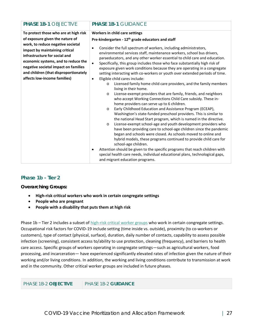**To protect those who are at high risk of exposure given the nature of work, to reduce negative societal impact by maintaining critical infrastructure for social and economic systems, and to reduce the negative societal impact on families and children (that disproportionately affects low-income families)**

### **PHASE 1B-1** OBJECTIVE **PHASE 1B-1** GUIDANCE

#### **Workers in child care settings**

#### **Pre-kindergarten - 12th grade educators and staff**

- Consider the full spectrum of workers, including administrators, environmental services staff, maintenance workers, school bus drivers, paraeducators, and any other worker essential to child care and education.
- Specifically, this group includes those who face substantially high risk of exposure given work conditions because they are operating in a congregate setting interacting with co-workers or youth over extended periods of time.
- Eligible child cares include:
	- o Licensed family home child care providers, and the family members living in their home.
	- o License-exempt providers that are family, friends, and neighbors who accept Working Connections Child Care subsidy. These inhome providers can serve up to 6 children.
	- o Early Childhood Education and Assistance Program (ECEAP), Washington's state-funded preschool providers. This is similar to the national Head Start program, which is named in the directive.
	- o License-exempt school-age and youth development providers who have been providing care to school-age children since the pandemic began and schools were closed. As schools moved to online and hybrid models, these programs continued to provide child care for school-age children.
- Attention should be given to the specific programs that reach children with special health care needs, individual educational plans, technological gaps, and migrant education programs.

### **Phase 1b - Tier 2**

*Overarching Groups:*

- **High-risk critical workers who work in certain congregate settings**
- **People who are pregnant**
- **People with a disability that puts them at high risk**

Phase 1b – Tier 2 includes a subset of [high-risk critical worker](https://www.governor.wa.gov/sites/default/files/WA%20Essential%20Critical%20Infrastructure%20Workers%20%28Final%29.pdf) groups who work in certain congregate settings. Occupational risk factors for COVID-19 include setting (time inside vs. outside), proximity (to co-workers or customers), type of contact (physical, surface), duration, daily number of contacts, capability to assess possible infection (screening), consistent access to/ability to use protection, cleaning (frequency), and barriers to health care access. Specific groups of workers operating in congregate settings—such as agricultural workers, food processing, and incarceration— have experienced significantly elevated rates of infection given the nature of their working and/or living conditions. In addition, the working and living conditions contribute to transmission at work and in the community. Other critical worker groups are included in future phases.

PHASE 1B-2 **OBJECTIVE** PHASE 1B-2 **GUIDANCE**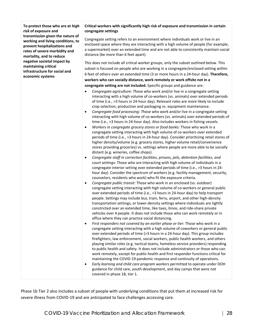**To protect those who are at** *high risk* **of exposure and transmission given the nature of working and living conditions, to prevent hospitalizations and rates of severe morbidity and mortality, and to reduce negative societal impact by maintaining critical infrastructure for social and economic systems**

#### **Critical workers with significantly high risk of exposure and transmission in certain congregate settings**

Congregate setting refers to an environment where individuals work or live in an enclosed space where they are interacting with a high volume of people (for example, a supermarket) over an extended time and are not able to consistently maintain social distance (be more than 6 feet apart).

This does not include all critical worker groups, only the subset outlined below. This subset is focused on people who are working in a congregate/enclosed setting within 6 feet of others over an extended time (3 or more hours in a 24-hour day). **Therefore, workers who can socially distance, work remotely or work offsite not in a congregate setting are not included.** Specific groups and guidance are:

- *Congregate agriculture: T*hose who work and/or live in a congregate setting interacting with a high volume of co-workers (vs. animals) over extended periods of time (i.e., >3 hours in 24-hour day). Relevant roles are more likely to include crop selection, production and packaging vs. equipment maintenance.
- *Congregate food processing: T*hose who work and/or live in a congregate setting interacting with high volume of co-workers (vs. animals) over extended periods of time (i.e., >3 hours in 24-hour day). Also includes workers in fishing vessels.
- *Workers in congregate grocery stores or food banks:* Those who work in a congregate setting interacting with high volume of co-workers over extended periods of time (i.e., >3 hours in 24-hour day). Consider prioritizing retail stores of higher density/volume (e.g. grocery stores, higher volume retail/convenience stores providing groceries) vs. settings where people are more able to be socially distant (e.g. wineries, coffee shops).
- *Congregate staff in correction facilities, prisons, jails, detention facilities, and court settings:* Those who are interacting with high volume of individuals in a congregate interior setting over extended periods of time (i.e., >3 hours in 24 hour day). Consider the spectrum of workers (e.g. facility management, security, counselors, residents who work) who fit the exposure criteria.
- *Congregate public transit:* Those who work in an enclosed (vs. outdoor) congregate setting interacting with high volume of co-workers or general public over extended periods of time (i.e., >3 hours in 24-hour day) to help transport people. Settings may include bus, train, ferry, airport, and other high-density transportation settings, or lower-density settings where individuals are tightly constricted over an extended time, like taxis, limos, and ride-share private vehicles over 4 people. It does not include those who can work remotely or in office where they can practice social distancing.
- *First responders not covered by an earlier phase or tier:* Those who work in a congregate setting interacting with a high volume of coworkers or general public over extended periods of time (>3 hours in a 24-hour day). This group includes firefighters, law enforcement, social workers, public health workers, and others playing similar roles (e.g. tactical teams, homeless service providers) responding to public health and safety. It does not include administrators or those who can work remotely, except for public health and first responder functions critical for maintaining the COVID-19 pandemic response and continuity of operations.
- *Early learning and child care program workers* permitted to operate under DOH guidance for child care, youth development, and day camps that were not covered in phase 1B, tier 1.

Phase 1b Tier 2 also includes a subset of people with underlying conditions that put them at increased risk for severe illness from COVID-19 and are anticipated to face challenges accessing care.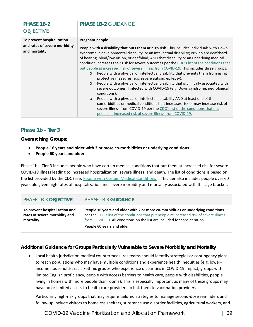| PHASE 1B-2<br><b>OBJECTIVE</b>                                               | <b>PHASE 1B-2 GUIDANCE</b>                                                                                                                                                                                                                                                                                                                                                                                                                                                                                                                                                                                                                                                                                                                                                                                                                                                                                                                                                                                                                                                                                                                                                                     |
|------------------------------------------------------------------------------|------------------------------------------------------------------------------------------------------------------------------------------------------------------------------------------------------------------------------------------------------------------------------------------------------------------------------------------------------------------------------------------------------------------------------------------------------------------------------------------------------------------------------------------------------------------------------------------------------------------------------------------------------------------------------------------------------------------------------------------------------------------------------------------------------------------------------------------------------------------------------------------------------------------------------------------------------------------------------------------------------------------------------------------------------------------------------------------------------------------------------------------------------------------------------------------------|
| To prevent hospitalization<br>and rates of severe morbidity<br>and mortality | <b>Pregnant people</b><br><b>People with a disability that puts them at high risk.</b> This includes individuals with Down<br>syndrome, a developmental disability, or an intellectual disability; or who are deaf/hard<br>of hearing, blind/low-vision, or deafblind; AND that disability or an underlying medical<br>condition increases their risk for severe outcomes per the CDC's list of the conditions that<br>put people at increased risk of severe illness from COVID-19. This includes three groups:<br>People with a physical or intellectual disability that prevents them from using<br>$\Omega$<br>protective measures (e.g. severe autism, epilepsy).<br>People with a physical or intellectual disability that is clinically associated with<br>$\circ$<br>severe outcomes if infected with COVID-19 (e.g. Down syndrome, neurological<br>conditions).<br>People with a physical or intellectual disability AND at least one of the<br>$\circ$<br>comorbidities or medical conditions that increases risk or may increase risk of<br>severe illness from COVID-19 per the CDC's list of the conditions that put<br>people at increased risk of severe illness from COVID-19. |

### **Phase 1b - Tier 3**

*Overarching Groups:*

- **People 16 years and older with 2 or more co-morbidities or underlying conditions**
- **People 60 years and older**

Phase 1b – Tier 3 includes people who have certain medical conditions that put them at increased risk for severe COVID-19 illness leading to increased hospitalization, severe illness, and death. The list of conditions is based on the list provided by the CDC (see: [People with Certain Medical Conditions\)](https://www.cdc.gov/coronavirus/2019-ncov/need-extra-precautions/people-with-medical-conditions.html). This tier also includes people over 60 years old given high rates of hospitalization and severe morbidity and mortality associated with this age bracket.

| PHASE 1B-3 OBJECTIVE                                                         | PHASE 1B-3 GUIDANCE                                                                                                                                                                                                                                       |
|------------------------------------------------------------------------------|-----------------------------------------------------------------------------------------------------------------------------------------------------------------------------------------------------------------------------------------------------------|
| To prevent hospitalization and<br>rates of severe morbidity and<br>mortality | People 16 years and older with 2 or more co-morbidities or underlying conditions<br>per the CDC's list of the conditions that put people at increased risk of severe illness<br>from COVID-19. All conditions on the list are included for consideration. |
|                                                                              | People 60 years and older                                                                                                                                                                                                                                 |

### *Additional Guidance for Groups Particularly Vulnerable to Severe Morbidity and Mortality*

Local health jurisdiction medical countermeasures teams should identify strategies or contingency plans to reach populations who may have multiple conditions and experience health inequities (e.g. lowerincome households, racial/ethnic groups who experience disparities in COVID-19 impact, groups with limited English proficiency, people with access barriers to health care, people with disabilities, people living in homes with more people than rooms). This is especially important as many of these groups may have no or limited access to health care providers to link them to vaccination providers.

Particularly high-risk groups that may require tailored strategies to manage second-dose reminders and follow-up include visitors to homeless shelters, substance use disorder facilities, agricultural workers, and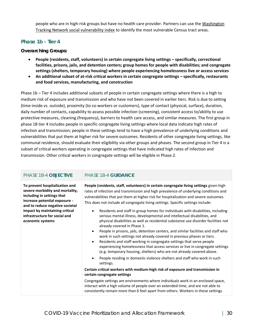people who are in high-risk groups but have no health care provider. Partners can use the [Washington](https://fortress.wa.gov/doh/wtn/WTNIBL/)  [Tracking Network social vulnerability index](https://fortress.wa.gov/doh/wtn/WTNIBL/) to identify the most vulnerable Census tract areas.

### **Phase 1b - Tier 4**

### *Overarching Groups:*

- **People (residents, staff, volunteers) in certain congregate living settings – specifically, correctional facilities, prisons, jails, and detention centers; group homes for people with disabilities; and congregate settings (shelters, temporary housing) where people experiencing homelessness live or access services**
- **An additional subset of at-risk critical workers in certain congregate settings – specifically, restaurants and food services, manufacturing, and construction**

Phase 1b – Tier 4 includes additional subsets of people in certain congregate settings where there is a high to medium risk of exposure and transmission and who have not been covered in earlier tiers. Risk is due to setting (time inside vs. outside), proximity (to co-workers or customers), type of contact (physical, surface), duration, daily number of contacts, capability to assess possible infection (screening), consistent access to/ability to use protective measures, cleaning (frequency), barriers to health care access, and similar measures. The first group in phase 1B tier 4 includes people in specific congregate living settings where local data indicate high rates of infection and transmission; people in these settings tend to have a high prevalence of underlying conditions and vulnerabilities that put them at higher risk for severe outcomes. Residents of other congregate living settings, like communal residence, should evaluate their eligibility via other groups and phases. The second group in Tier 4 is a subset of critical workers operating in congregate settings that have indicated high rates of infection and transmission. Other critical workers in congregate settings will be eligible in Phase 2.

### PHASE 1B-4 **OBJECTIVE** PHASE 1B-4 **GUIDANCE**

**To prevent hospitalization and severe morbidity and mortality, including in settings that increase potential exposure and to reduce negative societal impact by maintaining critical infrastructure for social and economic systems**

**People (residents, staff, volunteers) in certain congregate living settings** given high rates of infection and transmission and high prevalence of underlying conditions and vulnerabilities that put them at higher risk for hospitalization and severe outcomes. This does not include all congregate living settings. Specific settings include:

- Residents and staff in group homes for individuals with disabilities, including serious mental illness, developmental and intellectual disabilities, and physical disabilities as well as residential substance use disorder facilities not already covered in Phase 1.
- People in prisons, jails, detention centers, and similar facilities and staff who work in such settings not already covered in previous phases or tiers.
- Residents and staff working in congregate settings that serve people experiencing homelessness that access services or live in congregate settings (e.g. temporary housing, shelters) who are not already covered above.
- People residing in domestic violence shelters and staff who work in such settings.

#### **Certain critical workers with medium-high risk of exposure and transmission in certain congregate settings**

Congregate settings are environments where individuals work in an enclosed space, interact with a high volume of people over an extended time, and are not able to consistently remain more than 6 feet apart from others. Workers in these settings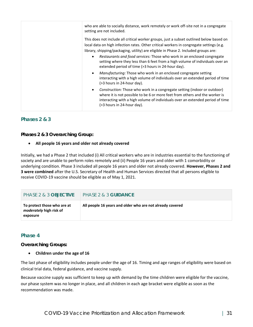| who are able to socially distance, work remotely or work off-site not in a congregate<br>setting are not included.                                                                                                                                                                                                                                                                                                                                                                                       |
|----------------------------------------------------------------------------------------------------------------------------------------------------------------------------------------------------------------------------------------------------------------------------------------------------------------------------------------------------------------------------------------------------------------------------------------------------------------------------------------------------------|
| This does not include all critical worker groups, just a subset outlined below based on<br>local data on high infection rates. Other critical workers in congregate settings (e.g.<br>library, shipping/packaging, utility) are eligible in Phase 2. Included groups are:<br>Restaurants and food services: Those who work in an enclosed congregate<br>$\bullet$<br>setting where they less than 6 feet from a high volume of individuals over an<br>extended period of time (>3 hours in 24-hour day). |
| Manufacturing: Those who work in an enclosed congregate setting<br>$\bullet$<br>interacting with a high volume of individuals over an extended period of time<br>(>3 hours in 24-hour day).                                                                                                                                                                                                                                                                                                              |
| Construction: Those who work in a congregate setting (indoor or outdoor)<br>$\bullet$<br>where it is not possible to be 6 or more feet from others and the worker is<br>interacting with a high volume of individuals over an extended period of time<br>(>3 hours in 24-hour day).                                                                                                                                                                                                                      |

### *Phases 2 & 3*

*Phases 2 & 3 Overarching Group:*

• **All people 16 years and older not already covered**

Initially, we had a Phase 2 that included (i) All critical workers who are in industries essential to the functioning of society and are unable to perform roles remotely and (ii) People 16 years and older with 1 comorbidity or underlying condition. Phase 3 included all people 16 years and older not already covered. **However, Phases 2 and 3 were combined** after the U.S. Secretary of Health and Human Services directed that all persons eligible to receive COVID-19 vaccine should be eligible as of May 1, 2021.

| PHASE 2 & 3 OBJECTIVE                                                     | PHASE 2 & 3 GUIDANCE                                      |
|---------------------------------------------------------------------------|-----------------------------------------------------------|
| To protect those who are at<br><i>moderately</i> high risk of<br>exposure | All people 16 years and older who are not already covered |

### *Phase 4*

*Overarching Groups:*

### • **Children under the age of 16**

The last phase of eligibility includes people under the age of 16. Timing and age ranges of eligibility were based on clinical trial data, federal guidance, and vaccine supply.

Because vaccine supply was sufficient to keep up with demand by the time children were eligible for the vaccine, our phase system was no longer in place, and all children in each age bracket were eligible as soon as the recommendation was made.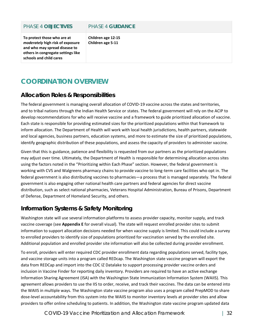| To protect those who are at<br>moderately high risk of exposure<br>and who may spread disease to | Children age 12-15<br>Children age 5-11 |
|--------------------------------------------------------------------------------------------------|-----------------------------------------|
| PHASE 4 OBJECTIVES                                                                               | PHASE 4 GUIDANCE                        |

# <span id="page-34-0"></span>**COORDINATION OVERVIEW**

**others in congregate settings like** 

**schools and child cares**

# **Allocation Roles & Responsibilities**

The federal government is managing overall allocation of COVID-19 vaccine across the states and territories, and to tribal nations through the Indian Health Service or states. The federal government will rely on the ACIP to develop recommendations for who will receive vaccine and a framework to guide prioritized allocation of vaccine. Each state is responsible for providing estimated sizes for the prioritized populations within that framework to inform allocation. The Department of Health will work with local health jurisdictions, health partners, statewide and local agencies, business partners, education systems, and more to estimate the size of prioritized populations, identify geographic distribution of these populations, and assess the capacity of providers to administer vaccine.

Given that this is guidance, patience and flexibility is requested from our partners as the prioritized populations may adjust over time. Ultimately, the Department of Health is responsible for determining allocation across sites using the factors noted in the "Prioritizing within Each Phase" section. However, the federal government is working with CVS and Walgreens pharmacy chains to provide vaccine to long-term care facilities who opt in. The federal government is also distributing vaccines to pharmacies—a process that is managed separately. The federal government is also engaging other national health care partners and federal agencies for direct vaccine distribution, such as select national pharmacies, Veterans Hospital Administration, Bureau of Prisons, Department of Defense, Department of Homeland Security, and others.

# **Information Systems & Safety Monitoring**

Washington state will use several information platforms to assess provider capacity, monitor supply, and track vaccine coverage (see **Appendix E** for overall visual). The state will request enrolled provider sites to submit information to support allocation decisions needed for when vaccine supply is limited. This could include a survey to enrolled providers to identify size of populations prioritized for vaccination served by the enrolled site. Additional population and enrolled provider site information will also be collected during provider enrollment.

To enroll, providers will enter required CDC provider enrollment data regarding populations served, facility type, and vaccine storage units into a program called REDcap. The Washington state vaccine program will export the data from REDCap and import into the CDC IZ Datalake to support processing provider vaccine orders and inclusion in Vaccine Finder for reporting daily inventory. Providers are required to have an active exchange Information Sharing Agreement (ISA) with the Washington State Immunization Information System (WAIIS). This agreement allows providers to use the IIS to order, receive, and track their vaccines. The data can be entered into the WAIIS in multiple ways. The Washington state vaccine program also uses a program called PrepMOD to share dose-level accountability from this system into the WAIIS to monitor inventory levels at provider sites and allow providers to offer online scheduling to patients. In addition, the Washington state vaccine program updated data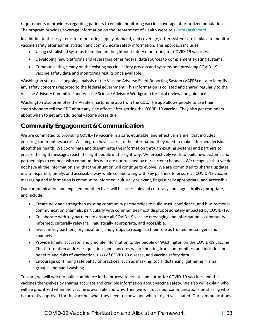requirements of providers regarding patients to enable monitoring vaccine coverage of prioritized populations. The program provides coverage information on the Department of Health website's [Data Dashboard.](https://www.doh.wa.gov/Emergencies/COVID19/DataDashboard)

In addition to these systems for monitoring supply, demand, and coverage, other systems are in place to monitor vaccine safety after administration and communicate safety information. This approach includes:

- Using established systems to implement heightened safety monitoring for COVID-19 vaccines.
- Developing new platforms and leveraging other federal data sources to complement existing systems.
- Communicating clearly on the existing vaccine safety process and systems and providing COVID-19 vaccine safety data and monitoring results once available.

Washington state uses ongoing analysis of the Vaccine Adverse Event Reporting System (VAERS) data to identify any safety concerns reported to the federal government. This information is collated and shared regularly to the Vaccine Advisory Committee and Vaccine Science Advisory Workgroup for local review and guidance.

Washington also promotes the V-Safe smartphone app from the CDC. The app allows people to use their smartphone to tell the CDC about any side effects after getting the COVID-19 vaccine. They also get reminders about when to get any additional vaccine doses due.

# **Community Engagement & Communication**

We are committed to providing COVID-19 vaccine in a safe, equitable, and effective manner that includes ensuring communities across Washington have access to the information they need to make informed decisions about their health. We coordinate and disseminate the information through existing systems and partners to ensure the right messages reach the right people in the right way. We proactively work to build new systems and partnerships to connect with communities who are not reached by our current channels. We recognize that we do not have all the information and that the situation will continue to evolve. We are committed to sharing updates in a transparent, timely, and accessible way while collaborating with key partners to ensure all COVID-19 vaccine messaging and information is community-informed, culturally relevant, linguistically appropriate, and accessible.

Our communication and engagement objectives will be accessible and culturally and linguistically appropriate, and include:

- Create new and strengthen existing community partnerships to build trust, confidence, and bi-directional communication channels, particularly with communities most disproportionately impacted by COVID-19.
- Collaborate with key partners to ensure all COVID-19 vaccine messaging and information is communityinformed, culturally relevant, linguistically appropriate, and accessible.
- Invest in key partners, organizations, and groups to recognize their role as trusted messengers and channels.
- Provide timely, accurate, and credible information to the people of Washington on the COVID-19 vaccine. This information addresses questions and concerns we are hearing from communities, and includes the benefits and risks of vaccination, risks of COVID-19 disease, and vaccine safety data.
- Encourage continuing safe behavior practices, such as masking, social distancing, gathering in small groups, and hand washing.

To start, we will work to build confidence in the process to create and authorize COVID-19 vaccines and the vaccines themselves by sharing accurate and credible information about vaccine safety. We also will explain who will be prioritized when the vaccine is available and why. Then we will focus our communications on sharing who is currently approved for the vaccine, what they need to know, and where to get vaccinated. Our communications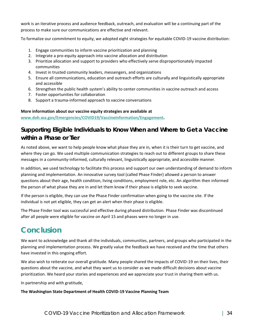work is an iterative process and audience feedback, outreach, and evaluation will be a continuing part of the process to make sure our communications are effective and relevant.

To formalize our commitment to equity, we adopted eight strategies for equitable COVID-19 vaccine distribution:

- 1. Engage communities to inform vaccine prioritization and planning
- 2. Integrate a pro-equity approach into vaccine allocation and distribution
- 3. Prioritize allocation and support to providers who effectively serve disproportionately impacted communities
- 4. Invest in trusted community leaders, messengers, and organizations
- 5. Ensure all communications, education and outreach efforts are culturally and linguistically appropriate and accessible
- 6. Strengthen the public health system's ability to center communities in vaccine outreach and access
- 7. Foster opportunities for collaboration
- 8. Support a trauma-informed approach to vaccine conversations

### **More information about our vaccine equity strategies are available at**

**[www.doh.wa.gov/Emergencies/COVID19/VaccineInformation/Engagement.](http://www.doh.wa.gov/Emergencies/COVID19/VaccineInformation/Engagement)** 

# **Supporting Eligible Individuals to Know When and Where to Get a Vaccine within a Phase or Tier**

As noted above, we want to help people know what phase they are in, when it is their turn to get vaccine, and where they can go. We used multiple communication strategies to reach out to different groups to share these messages in a community-informed, culturally relevant, linguistically appropriate, and accessible manner.

In addition, we used technology to facilitate this process and support our own understanding of demand to inform planning and implementation. An innovative survey tool (called Phase Finder) allowed a person to answer questions about their age, health condition, living conditions, employment role, etc. An algorithm then informed the person of what phase they are in and let them know if their phase is eligible to seek vaccine.

If the person is eligible, they can use the Phase Finder confirmation when going to the vaccine site. If the individual is not yet eligible, they can get an alert when their phase is eligible.

The Phase Finder tool was successful and effective during phased distribution. Phase Finder was discontinued after all people were eligible for vaccine on April 15 and phases were no longer in use.

# **Conclusion**

We want to acknowledge and thank all the individuals, communities, partners, and groups who participated in the planning and implementation process. We greatly value the feedback we have received and the time that others have invested in this ongoing effort.

We also wish to reiterate our overall gratitude. Many people shared the impacts of COVID-19 on their lives, their questions about the vaccine, and what they want us to consider as we made difficult decisions about vaccine prioritization. We heard your stories and experiences and we appreciate your trust in sharing them with us.

In partnership and with gratitude,

### **The Washington State Department of Health COVID-19 Vaccine Planning Team**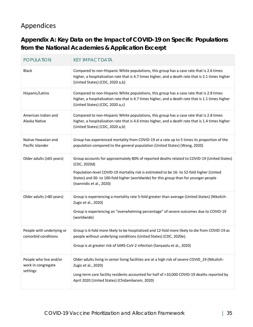# <span id="page-37-0"></span>Appendices

**Appendix A: Key Data on the Impact of COVID-19 on Specific Populations from the National Academies & Application Excerpt**

| <b>POPULATION</b>                                        | <b>KEY IMPACT DATA</b>                                                                                                                                                                                                                                                                                                        |
|----------------------------------------------------------|-------------------------------------------------------------------------------------------------------------------------------------------------------------------------------------------------------------------------------------------------------------------------------------------------------------------------------|
| <b>Black</b>                                             | Compared to non-Hispanic White populations, this group has a case rate that is 2.6 times<br>higher, a hospitalization rate that is 4.7 times higher, and a death rate that is 2.1 times higher<br>(United States) (CDC, 2020 a,b)                                                                                             |
| Hispanic/Latinx                                          | Compared to non-Hispanic White populations, this group has a case rate that is 2.8 times<br>higher, a hospitalization rate that is 4.7 times higher, and a death rate that is 1.1 times higher<br>(United States) (CDC, 2020 a,c)                                                                                             |
| American Indian and<br>Alaska Native                     | Compared to non-Hispanic White populations, this group has a case rate that is 2.8 times<br>higher, a hospitalization rate that is 4.6 times higher, and a death rate that is 1.4 times higher<br>(United States) (CDC, 2020 a,b)                                                                                             |
| Native Hawaiian and<br>Pacific Islander                  | Group has experienced mortality from COVID-19 at a rate up to 5 times its proportion of the<br>population compared to the general population (United States) (Wong, 2020)                                                                                                                                                     |
| Older adults (≥65 years)                                 | Group accounts for approximately 80% of reported deaths related to COVID-19 (United States)<br>(CDC, 2020d)<br>Population-level COVID-19 mortality risk is estimated to be 16- to 52-fold higher (United<br>States) and 30- to 100-fold higher (worldwide) for this group than for younger people<br>(Ioannidis et al., 2020) |
| Older adults (>80 years)                                 | Group is experiencing a mortality rate 5-fold greater than average (United States) (Nikolich-<br>Zugic et al., 2020)<br>Group is experiencing an "overwhelming percentage" of severe outcomes due to COVID-19<br>(worldwide)                                                                                                  |
| People with underlying or<br>comorbid conditions         | Group is 6-fold more likely to be hospitalized and 12-fold more likely to die from COVID-19 as<br>people without underlying conditions (United States) (CDC, 2020e).<br>Group is at greater risk of SARS-CoV-2 infection (Sanyaolu et al., 2020)                                                                              |
| People who live and/or<br>work in congregate<br>settings | Older adults living in senior living facilities are at a high risk of severe COVID_19 (Nikolich-<br>Zugic et al., 2020)<br>Long-term care facility residents accounted for half of >10,000 COVID-19 deaths reported by<br>April 2020 (United States) (Chidambaram, 2020)                                                      |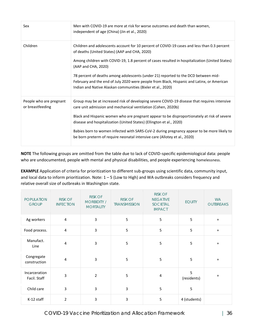| Sex                                         | Men with COVID-19 are more at risk for worse outcomes and death than women,<br>independent of age (China) (Jin et al., 2020)                                                                                                                                                                                                                                                                                                                                                                                             |  |
|---------------------------------------------|--------------------------------------------------------------------------------------------------------------------------------------------------------------------------------------------------------------------------------------------------------------------------------------------------------------------------------------------------------------------------------------------------------------------------------------------------------------------------------------------------------------------------|--|
| Children                                    | Children and adolescents account for 10 percent of COVID-19 cases and less than 0.3 percent<br>of deaths (United States) (AAP and CHA, 2020)<br>Among children with COVID-19, 1.8 percent of cases resulted in hospitalization (United States)<br>(AAP and CHA, 2020)<br>78 percent of deaths among adolescents (under 21) reported to the DCD between mid-<br>February and the end of July 2020 were people from Black, Hispanic and Latinx, or American<br>Indian and Native Alaskan communities (Bixler et al., 2020) |  |
| People who are pregnant<br>or breastfeeding | Group may be at increased risk of developing severe COVID-19 disease that requires intensive<br>care unit admission and mechanical ventilation (Cohen, 2020b)<br>Black and Hispanic women who are pregnant appear to be disproportionately at risk of severe<br>disease and hospitalization (United States) (Ellington et al., 2020)<br>Babies born to women infected with SARS-CoV-2 during pregnancy appear to be more likely to<br>be born preterm of require neonatal intensive care (Allotey et al., 2020)          |  |

**NOTE** The following groups are omitted from the table due to lack of COVID-specific epidemiological data: people who are undocumented, people with mental and physical disabilities, and people experiencing homelessness.

**EXAMPLE** Application of criteria for prioritization to different sub-groups using scientific data, community input, and local data to inform prioritization. Note: 1 – 5 (Low to High) and WA outbreaks considers frequency and relative overall size of outbreaks in Washington state.

| <b>POPULATION</b><br><b>GROUP</b> | <b>RISK OF</b><br><b>INFECTION</b> | <b>RISK OF</b><br><b>MORBIDITY /</b><br><b>MORTALITY</b> | <b>RISK OF</b><br><b>TRANSMISSION</b> | <b>RISK OF</b><br><b>NEGATIVE</b><br>SOCIETAL<br><b>IMPACT</b> | <b>EQUITY</b>    | <b>WA</b><br><b>OUTBREAKS</b> |
|-----------------------------------|------------------------------------|----------------------------------------------------------|---------------------------------------|----------------------------------------------------------------|------------------|-------------------------------|
| Ag workers                        | 4                                  | $\overline{3}$                                           | 5                                     | 5                                                              | 5                | $+$                           |
| Food process.                     | 4                                  | $\mathsf 3$                                              | 5                                     | 5                                                              | 5                | $+$                           |
| Manufact.<br>Line                 | 4                                  | $\mathbf{3}$                                             | 5                                     | 5                                                              | 5                | $+$                           |
| Congregate<br>construction        | $\overline{4}$                     | $\mathbf{3}$                                             | 5                                     | 5                                                              | 5                | $\ddot{}$                     |
| Incarceration<br>Facil. Staff     | 3                                  | $\overline{2}$                                           | 5                                     | 4                                                              | 5<br>(residents) | $\ddot{}$                     |
| Child care                        | 3                                  | 3                                                        | 3                                     | 5                                                              | 5                |                               |
| K-12 staff                        | $\overline{2}$                     | $\overline{3}$                                           | 3                                     | 5                                                              | 4 (students)     |                               |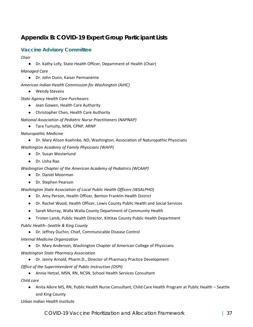# **Appendix B: COVID-19 Expert Group Participant Lists**

### **Vaccine Advisory Committee**

- *Chair*
	- Dr. Kathy Lofy, State Health Officer, Department of Health (Chair)
- *Managed Care*
	- Dr. John Dunn, Kaiser Permanente
- *American Indian Health Commission for Washington (AIHC)*
	- Wendy Stevens
- *State Agency Health Care Purchasers*
	- Jean Gowen, Health Care Authority
	- Christopher Chen, Health Care Authority
- *National Association of Pediatric Nurse Practitioners (NAPNAP)*
	- Tara Tumulty, MSN, CPNP, ARNP
- *Naturopathic Medicine*
	- Dr. Mary Alison Koehnke, ND, Washington, Association of Naturopathic Physicians
- *Washington Academy of Family Physicians (WAFP)*
	- Dr. Susan Westerlund
	- Dr. Usha Rao

*Washington Chapter of the American Academy of Pediatrics (WCAAP)*

- Dr. Daniel Moorman
- Dr. Stephen Pearson

*Washington State Association of Local Public Health Officers (WSALPHO)*

- Dr. Amy Person, Health Officer, Benton Franklin Health District
- Dr. Rachel Wood, Health Officer, Lewis County Public Health and Social Services
- Sarah Murray, Walla Walla County Department of Community Health
- Tristen Lamb, Public Health Director, Kittitas County Public Health Department
- *Public Health--Seattle & King County*
	- Dr. Jeffrey Duchin, Chief, Communicable Disease Control
- *Internal Medicine Organization*
	- Dr. Mary Anderson, Washington Chapter of American College of Physicians
- *Washington State Pharmacy Association*
	- Dr. Jenny Arnold, Pharm.D., Director of Pharmacy Practice Development
- *Office of the Superintendent of Public Instruction (OSPI)*
	- Annie Hetzel, MSN, RN, NCSN, School Health Services Consultant

*Child care*

● Anita Alkire MS, RN, Public Health Nurse Consultant, Child Care Health Program at Public Health – Seattle and King County

*Urban Indian Health Institute*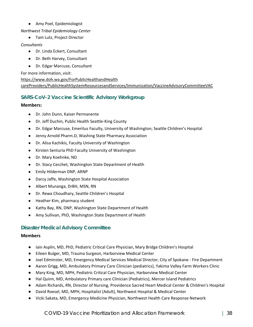### ● Amy Poel, Epidemiologist

### *Northwest Tribal Epidemiology Center*

● Tam Lutz, Project Director

### *Consultants*

- Dr. Linda Eckert, Consultant
- Dr. Beth Harvey, Consultant
- Dr. Edgar Marcuse, Consultant

For more information, visit:

### [https://www.doh.wa.gov/ForPublicHealthandHealth](https://www.doh.wa.gov/ForPublicHealthandHealthcareProviders/PublicHealthSystemResourcesandServices/Immunization/VaccineAdvisoryCommitteeVAC)

[careProviders/PublicHealthSystemResourcesandServices/Immunization/VaccineAdvisoryCommitteeVAC](https://www.doh.wa.gov/ForPublicHealthandHealthcareProviders/PublicHealthSystemResourcesandServices/Immunization/VaccineAdvisoryCommitteeVAC)

### **SARS-CoV-2 Vaccine Scientific Advisory Workgroup**

### **Members:**

- Dr. John Dunn, Kaiser Permanente
- Dr. Jeff Duchin, Public Health Seattle-King County
- Dr. Edgar Marcuse, Emeritus Faculty, University of Washington; Seattle Children's Hospital
- Jenny Arnold Pharm.D, Washing State Pharmacy Association
- Dr. Alisa Kachikis, Faculty University of Washington
- Kirsten Senturia PhD Faculty University of Washington
- Dr. Mary Koehnke, ND
- Dr. Stacy Cecchet, Washington State Department of Health
- Emily Hilderman DNP, ARNP
- **Darcy Jaffe, Washington State Hospital Association**
- Albert Munanga, DrBH, MSN, RN
- Dr. Rewa Choudhary, Seattle Children's Hospital
- Heather Kim, pharmacy student
- Kathy Bay, RN, DNP, Washington State Department of Health
- Amy Sullivan, PhD, Washington State Department of Health

### **Disaster Medical Advisory Committee**

### **Members**

- Iain Asplin, MD, PhD, Pediatric Critical Care Physician, Mary Bridge Children's Hospital
- Eileen Bulger, MD, Trauma Surgeon, Harborview Medical Center
- Joel Edminster, MD, Emergency Medical Services Medical Director, City of Spokane Fire Department
- Aaron Grigg, MD, Ambulatory Primary Care Clinician (pediatrics), Yakima Valley Farm Workers Clinic
- Mary King, MD, MPH, Pediatric Critical Care Physician, Harborview Medical Center
- Hal Quinn, MD, Ambulatory Primary care Clinician (Pediatrics), Mercer Island Pediatrics
- Adam Richards, RN, Director of Nursing, Providence Sacred Heart Medical Center & Children's Hospital
- David Roesel, MD, MPH, Hospitalist (Adult), Northwest Hospital & Medical Center
- Vicki Sakata, MD, Emergency Medicine Physician, Northwest Health Care Response Network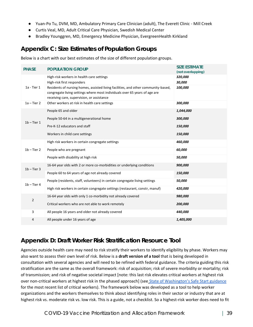- Yuan-Po Tu, DVM, MD, Ambulatory Primary Care Clinician (adult), The Everett Clinic Mill Creek
- Curtis Veal, MD, Adult Critical Care Physician, Swedish Medical Center
- Bradley Younggren, MD, Emergency Medicine Physician, EvergreenHealth Kirkland

# **Appendix C: Size Estimates of Population Groups**

Below is a chart with our best estimates of the size of different population groups.

| <b>PHASE</b>    | POPULATION GROUP                                                                                                                                                                                               | <b>SIZE ESTIMATE</b><br>(not overlapping) |
|-----------------|----------------------------------------------------------------------------------------------------------------------------------------------------------------------------------------------------------------|-------------------------------------------|
|                 | High-risk workers in health care settings                                                                                                                                                                      | 320,000                                   |
|                 | High-risk first responders                                                                                                                                                                                     | 30,000                                    |
| $1a$ - Tier $1$ | Residents of nursing homes, assisted living facilities, and other community-based,<br>congregate living settings where most individuals over 65 years of age are<br>receiving care, supervision, or assistance | 100,000                                   |
| $1a - Tier 2$   | Other workers at risk in health care settings                                                                                                                                                                  | 300,000                                   |
|                 | People 65 and older                                                                                                                                                                                            | 1,044,000                                 |
| $1b$ – Tier 1   | People 50-64 in a multigenerational home                                                                                                                                                                       | 300,000                                   |
|                 | Pre-K-12 educators and staff                                                                                                                                                                                   | 150,000                                   |
|                 | Workers in child care settings                                                                                                                                                                                 | 150,000                                   |
|                 | High risk workers in certain congregate settings                                                                                                                                                               | 460,000                                   |
| $1b$ – Tier 2   | People who are pregnant                                                                                                                                                                                        | 60,000                                    |
|                 | People with disability at high risk                                                                                                                                                                            | 50,000                                    |
| $1b$ – Tier 3   | 16-64 year olds with 2 or more co-morbidities or underlying conditions                                                                                                                                         | 900,000                                   |
|                 | People 60 to 64 years of age not already covered                                                                                                                                                               | 150,000                                   |
| $1b$ – Tier 4   | People (residents, staff, volunteers) in certain congregate living settings                                                                                                                                    | 50,000                                    |
|                 | High risk workers in certain congregate settings (restaurant, constr, manuf)                                                                                                                                   | 420,000                                   |
| $\overline{2}$  | 16-64 year olds with only 1 co-morbidity not already covered                                                                                                                                                   | 980,000                                   |
|                 | Critical workers who are not able to work remotely                                                                                                                                                             | 200,000                                   |
| 3               | All people 16 years and older not already covered                                                                                                                                                              | 440,000                                   |
| 4               | All people under 16 years of age                                                                                                                                                                               | 1,405,000                                 |

# **Appendix D: Draft Worker Risk Stratification Resource Tool**

Agencies outside health care may need to risk stratify their workers to identify eligibility by phase. Workers may also want to assess their own level of risk. Below is a **draft version of a tool** that is being developed in consultation with several agencies and will need to be refined with federal guidance. The criteria guiding this risk stratification are the same as the overall framework: risk of acquisition; risk of severe morbidity or mortality; risk of transmission; and risk of negative societal impact [note: this last risk elevates critical workers at highest risk over non-critical workers at highest risk in the phased approach] (see [State of Washington's Safe Start guidance](https://coronavirus.wa.gov/information-for/business) for the most recent list of critical workers). The framework below was developed as a tool to help worker organizations and the workers themselves to think about identifying roles in their sector or industry that are at highest risk vs. moderate risk vs. low risk. This is a guide, not a checklist. So a highest-risk worker does need to fit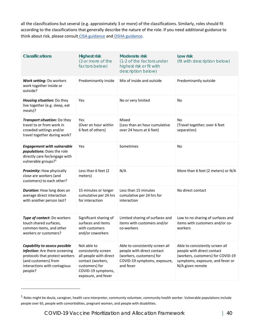all the classifications but several (e.g. approximately 3 or more) of the classifications. Similarly, roles should fit according to the classifications that generally describe the nature of the role. If you need additional guidance to think about risk, please consult [CISA guidance](https://www.cisa.gov/publication/guidance-essential-critical-infrastructure-workforce) and [OSHA guidance.](https://www.osha.gov/SLTC/covid-19/hazardrecognition.html)

| Classifications                                                                                                                                                             | <b>Highest risk</b><br>(3 or more of the<br>factors below)                                                                                       | Moderate risk<br>(1-2 of the factors under<br>highest risk or fit with<br>description below)                                           | Low risk<br>(fit with description below)                                                                                                                   |
|-----------------------------------------------------------------------------------------------------------------------------------------------------------------------------|--------------------------------------------------------------------------------------------------------------------------------------------------|----------------------------------------------------------------------------------------------------------------------------------------|------------------------------------------------------------------------------------------------------------------------------------------------------------|
| Work setting: Do workers<br>work together inside or<br>outside?                                                                                                             | Predominantly inside                                                                                                                             | Mix of inside and outside                                                                                                              | Predominantly outside                                                                                                                                      |
| Housing situation: Do they<br>live together (e.g. sleep, eat<br>meals)?                                                                                                     | Yes                                                                                                                                              | No or very limited                                                                                                                     | No                                                                                                                                                         |
| Transport situation: Do they<br>travel to or from work in<br>crowded settings and/or<br>travel together during work?                                                        | Yes<br>(Over an hour within<br>6 feet of others)                                                                                                 | Mixed<br>(Less than an hour cumulative<br>over 24 hours at 6 feet)                                                                     | No<br>(Travel together; over 6 feet<br>separation)                                                                                                         |
| <b>Engagement with vulnerable</b><br>populations: Does the role<br>directly care for/engage with<br>vulnerable groups? <sup>1</sup>                                         | Yes                                                                                                                                              | Sometimes                                                                                                                              | No                                                                                                                                                         |
| Proximity: How physically<br>close are workers (and<br>customers) to each other?                                                                                            | Less than 6 feet (2<br>meters)                                                                                                                   | N/A                                                                                                                                    | More than 6 feet (2 meters) or N/A                                                                                                                         |
| <b>Duration:</b> How long does an<br>average direct interaction<br>with another person last?                                                                                | 15 minutes or longer<br>cumulative per 24 hrs<br>for interaction                                                                                 | Less than 15 minutes<br>cumulative per 24 hrs for<br>interaction                                                                       | No direct contact                                                                                                                                          |
| Type of contact: Do workers<br>touch shared surfaces,<br>common items, and other<br>workers or customers?                                                                   | Significant sharing of<br>surfaces and items<br>with customers<br>and/or coworkers                                                               | Limited sharing of surfaces and<br>items with customers and/or<br>co-workers                                                           | Low to no sharing of surfaces and<br>items with customers and/or co-<br>workers                                                                            |
| <b>Capability to assess possible</b><br>infection: Are there screening<br>protocols that protect workers<br>(and customers) from<br>interactions with contagious<br>people? | Not able to<br>consistently screen<br>all people with direct<br>contact (workers,<br>customers) for<br>COVID-19 symptoms,<br>exposure, and fever | Able to consistently screen all<br>people with direct contact<br>(workers, customers) for<br>COVID-19 symptoms, exposure,<br>and fever | Able to consistently screen all<br>people with direct contact<br>(workers, customers) for COVID-19<br>symptoms, exposure, and fever or<br>N/A given remote |

 $^1$  Roles might be doula, caregiver, health care interpreter, community volunteer, community health worker. Vulnerable populations include people over 65, people with comorbidities, pregnant women, and people with disabilities.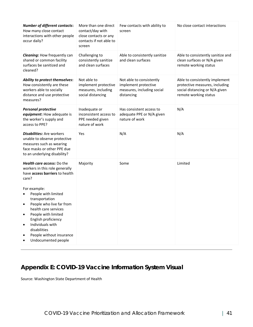| <b>Number of different contacts:</b><br>How many close contact<br>interactions with other people<br>occur daily?                                                                                                                                                 | More than one direct<br>contact/day with<br>close contacts or any<br>contacts if not able to<br>screen | Few contacts with ability to<br>screen                                                       | No close contact interactions                                                                                               |
|------------------------------------------------------------------------------------------------------------------------------------------------------------------------------------------------------------------------------------------------------------------|--------------------------------------------------------------------------------------------------------|----------------------------------------------------------------------------------------------|-----------------------------------------------------------------------------------------------------------------------------|
| <b>Cleaning:</b> How frequently can<br>shared or common facility<br>surfaces be sanitized and<br>cleaned?                                                                                                                                                        | Challenging to<br>consistently sanitize<br>and clean surfaces                                          | Able to consistently sanitize<br>and clean surfaces                                          | Able to consistently sanitize and<br>clean surfaces or N/A given<br>remote working status                                   |
| Ability to protect themselves:<br>How consistently are these<br>workers able to socially<br>distance and use protective<br>measures?                                                                                                                             | Not able to<br>implement protective<br>measures, including<br>social distancing                        | Not able to consistently<br>implement protective<br>measures, including social<br>distancing | Able to consistently implement<br>protective measures, including<br>social distancing or N/A given<br>remote working status |
| <b>Personal protective</b><br>equipment: How adequate is<br>the worker's supply and<br>access to PPE?                                                                                                                                                            | Inadequate or<br>inconsistent access to<br>PPE needed given<br>nature of work                          | Has consistent access to<br>adequate PPE or N/A given<br>nature of work                      | N/A                                                                                                                         |
| <b>Disabilities:</b> Are workers<br>unable to observe protective<br>measures such as wearing<br>face masks or other PPE due<br>to an underlying disability?                                                                                                      | Yes                                                                                                    | N/A                                                                                          | N/A                                                                                                                         |
| Health care access: Do the<br>workers in this role generally<br>have access barriers to health<br>care?                                                                                                                                                          | Majority                                                                                               | Some                                                                                         | Limited                                                                                                                     |
| For example:<br>People with limited<br>transportation<br>People who live far from<br>٠<br>health care services<br>People with limited<br>English proficiency<br>Individuals with<br>$\bullet$<br>disabilities<br>People without insurance<br>Undocumented people |                                                                                                        |                                                                                              |                                                                                                                             |

# **Appendix E: COVID-19 Vaccine Information System Visual**

Source: Washington State Department of Health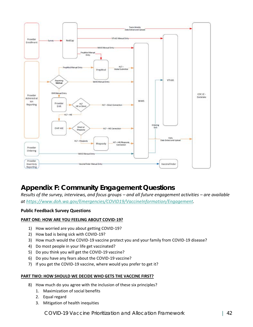

# **Appendix F: Community Engagement Questions**

*Results of the survey, interviews, and focus groups – and all future engagement activities – are available at [https://www.doh.wa.gov/Emergencies/COVID19/VaccineInformation/Engagement.](https://www.doh.wa.gov/Emergencies/COVID19/VaccineInformation/Engagement)* 

### **Public Feedback Survey Questions**

### **PART ONE: HOW ARE YOU FEELING ABOUT COVID-19?**

- 1) How worried are you about getting COVID-19?
- 2) How bad is being sick with COVID-19?
- 3) How much would the COVID-19 vaccine protect you and your family from COVID-19 disease?
- 4) Do most people in your life get vaccinated?
- 5) Do you think you will get the COVID-19 vaccine?
- 6) Do you have any fears about the COVID-19 vaccine?
- 7) If you get the COVID-19 vaccine, where would you prefer to get it?

#### **PART TWO: HOW SHOULD WE DECIDE WHO GETS THE VACCINE FIRST?**

- 8) How much do you agree with the inclusion of these six principles?
	- 1. Maximization of social benefits
	- 2. Equal regard
	- 3. Mitigation of health inequities

COVID-19 Vaccine Prioritization and Allocation Framework | 42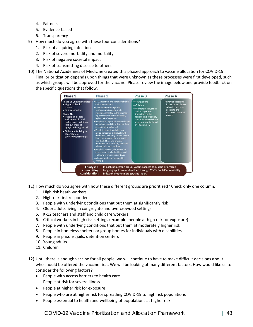- 4. Fairness
- 5. Evidence-based
- 6. Transparency
- 9) How much do you agree with these four considerations?
	- 1. Risk of acquiring infection
	- 2. Risk of severe morbidity and mortality
	- 3. Risk of negative societal impact
	- 4. Risk of transmitting disease to others
- 10) The National Academies of Medicine created this phased approach to vaccine allocation for COVID-19. Final prioritization depends upon things that were unknown as these processes were first developed, such as which groups will be approved for the vaccine. Please review the image below and provide feedback on the specific questions that follow.

| Phase 1                                                                                                                                                                                                                                                                                   | Phase 2                                                                                                                                                                                                                                                                                                                                                                                                                                                                                                                                                                                                                                                                                                                                                                                      | Phase 3                                                                                                                                                                                                  | Phase 4                                                                                                           |
|-------------------------------------------------------------------------------------------------------------------------------------------------------------------------------------------------------------------------------------------------------------------------------------------|----------------------------------------------------------------------------------------------------------------------------------------------------------------------------------------------------------------------------------------------------------------------------------------------------------------------------------------------------------------------------------------------------------------------------------------------------------------------------------------------------------------------------------------------------------------------------------------------------------------------------------------------------------------------------------------------------------------------------------------------------------------------------------------------|----------------------------------------------------------------------------------------------------------------------------------------------------------------------------------------------------------|-------------------------------------------------------------------------------------------------------------------|
| Phase 1a "Jumpstart Phase"<br>• High-risk health<br>workers<br>• First responders<br>Phase 1b<br>• People of all ages<br>with comorbid and<br>underlying conditions<br>that put them at<br>significantly higher risk<br>• Older adults living in<br>congregate or<br>overcrowded settings | K-12 teachers and school staff and<br>child care workers<br>• Critical workers in high-risk<br>settings-workers who are in<br>industries essential to the function-<br>ing of society and at substantially<br>higher risk of exposure<br>. People of all ages with comorbid and<br>underlying conditions that put them<br>at moderately higher risk<br>• People in homeless shelters or<br>group homes for individuals with<br>disabilities, including serious mental<br>illness, developmental and intellec-<br>tual disabilities, and physical<br>disabilities or in recovery, and staff<br>who work in such settings<br>· People in prisons, jails, detention<br>centers, and similar facilities, and<br>staff who work in such settings<br>. All older adults not included in<br>Phase 1 | • Young adults<br>$\bullet$ Children<br>• Workers in industries<br>and occupations<br>important to the<br>functioning of society<br>and at increased risk of<br>exposure not included<br>in Phase 1 or 2 | • Everyone residing<br>in the United States<br>who did not have<br>access to the<br>vaccine in previous<br>phases |
| Equity is a<br>crosscutting<br>consideration:                                                                                                                                                                                                                                             | Index or another more specific index.                                                                                                                                                                                                                                                                                                                                                                                                                                                                                                                                                                                                                                                                                                                                                        | In each population group, vaccine access should be prioritized<br>for geographic areas identified through CDC's Social Vulnerability                                                                     |                                                                                                                   |

11) How much do you agree with how these different groups are prioritized? Check only one column.

- 1. High risk heath workers
- 2. High-risk first responders
- 3. People with underlying conditions that put them at significantly risk
- 4. Older adults living in congregate and overcrowded settings
- 5. K-12 teachers and staff and child care workers
- 6. Critical workers in high risk settings (example: people at high risk for exposure)
- 7. People with underlying conditions that put them at moderately higher risk
- 8. People in homeless shelters or group homes for individuals with disabilities
- 9. People in prisons, jails, detention centers
- 10. Young adults
- 11. Children
- 12) Until there is enough vaccine for all people, we will continue to have to make difficult decisions about who should be offered the vaccine first. We will be looking at many different factors. How would like us to consider the following factors?
	- People with access barriers to health care People at risk for severe illness
	- People at higher risk for exposure
	- People who are at higher risk for spreading COVID-19 to high risk populations
	- People essential to health and wellbeing of populations at higher risk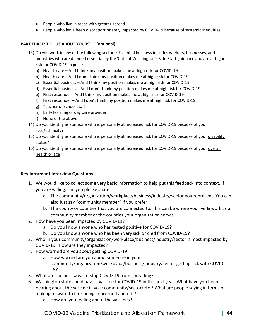- People who live in areas with greater spread
- People who have been disproportionately impacted by COVID-19 because of systemic inequities

### **PART THREE: TELL US ABOUT YOURSELF (optional)**

- 13) Do you work in any of the following sectors? Essential business includes workers, businesses, and industries who are deemed essential by the State of Washington's Safe Start guidance and are at higher risk for COVID-19 exposure.
	- a) Health care And I think my position makes me at high risk for COVID-19
	- b) Health care And I don't think my position makes me at high risk for COVID-19
	- c) Essential business And I think my position makes me at high risk for COVID-19
	- d) Essential business And I don't think my position makes me at high risk for COVID-19
	- e) First responder And I think my position makes me at high risk for COVID-19
	- f) First responder And I don't think my position makes me at high risk for COVID-19
	- g) Teacher or school staff
	- h) Early learning or day care provider
	- i) None of the above
- 14) Do you identify as someone who is personally at increased risk for COVID-19 because of your race/ethnicity?
- 15) Do you identify as someone who is personally at increased risk for COVID-19 because of your disability status?
- 16) Do you identify as someone who is personally at increased risk for COVID-19 because of your overall health or age?

### **Key Informant Interview Questions**

- 1. We would like to collect some very basic information to help put this feedback into context. If you are willing, can you please share:
	- a. The community/organization/workplace/business/industry/sector you represent. You can also just say "community member" if you prefer.
	- b. The county or counties that you are connected to. This can be where you live & work as a community member or the counties your organization serves.
- 2. How have you been impacted by COVID-19?
	- a. Do you know anyone who has tested positive for COVID-19?
	- b. Do you know anyone who has been very sick or died from COVID-19?
- 3. Who in your community/organization/workplace/business/industry/sector is most impacted by COVID-19? How are they impacted?
- 4. How worried are you about getting COVID-19?
	- a. How worried are you about someone in your community/organization/workplace/business/industry/sector getting sick with COVID-19?
- 5. What are the best ways to stop COVID-19 from spreading?
- 6. Washington state could have a vaccine for COVID-19 in the next year. What have you been hearing about the vaccine in your community/sector/etc.? What are people saying in terms of looking forward to it or being concerned about it?
	- a. How are you feeling about the vaccines?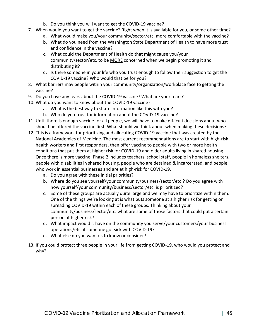- b. Do you think you will want to get the COVID-19 vaccine?
- 7. When would you want to get the vaccine? Right when it is available for you, or some other time?
	- a. What would make you/your community/sector/etc. more comfortable with the vaccine?
	- b. What do you need from the Washington State Department of Health to have more trust and confidence in the vaccine?
	- c. What could the Department of Health do that might cause you/your community/sector/etc. to be MORE concerned when we begin promoting it and distributing it?
	- d. Is there someone in your life who you trust enough to follow their suggestion to get the COVID-19 vaccine? Who would that be for you?
- 8. What barriers may people within your community/organization/workplace face to getting the vaccine?
- 9. Do you have any fears about the COVID-19 vaccine? What are your fears?
- 10. What do you want to know about the COVID-19 vaccine?
	- a. What is the best way to share information like this with you?
	- b. Who do you trust for information about the COVID-19 vaccine?
- 11. Until there is enough vaccine for all people, we will have to make difficult decisions about who should be offered the vaccine first. What should we think about when making these decisions?
- 12. This is a framework for prioritizing and allocating COVID-19 vaccine that was created by the National Academies of Medicine. The most current recommendations are to start with high-risk health workers and first responders, then offer vaccine to people with two or more health conditions that put them at higher risk for COVID-19 and older adults living in shared housing. Once there is more vaccine, Phase 2 includes teachers, school staff, people in homeless shelters, people with disabilities in shared housing, people who are detained & incarcerated, and people who work in essential businesses and are at high-risk for COVID-19.
	- a. Do you agree with these initial priorities?
	- b. Where do you see yourself/your community/business/sector/etc.? Do you agree with how yourself/your community/business/sector/etc. is prioritized?
	- c. Some of these groups are actually quite large and we may have to prioritize within them. One of the things we're looking at is what puts someone at a higher risk for getting or spreading COVID-19 within each of these groups. Thinking about your community/business/sector/etc. what are some of those factors that could put a certain person at higher risk?
	- d. What impact would it have on the community you serve/your customers/your business operations/etc. if someone got sick with COVID-19?
	- e. What else do you want us to know or consider?
- 13. If you could protect three people in your life from getting COVID-19, who would you protect and why?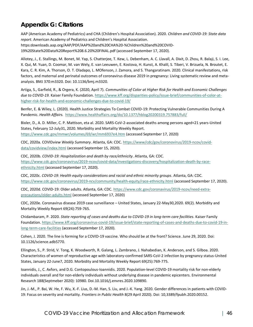# **Appendix G: Citations**

AAP (American Academy of Pediatrics) and CHA (Children's Hospital Association). 2020. *Children and COVID-19: State data report*. American Academy of Pediatrics and Children's Hospital Association. https:downloads.aap.org/AAP/PDF/AAP%20and%20CHA%20-%Children%20and%20COVID-19%20State%20Data%20Report%208.6.20%20FINAL.pdf (accessed September 17, 2020).

Allotey, J., E. Stallings, M. Bonet, M. Yap, S. Chatterjee, T. Kew, L. Debenham, A. C. Llavall, A. Dixit, D. Zhou, R. Balaji, S. I. Lee, X. Qui, M. Yuan, D. Coomar, M. van Wely, E. van Leeuwen, E. Kostova, H. Kunst, A. Khalil, S. Tiberi, V. Brizuela, N. Broutet, E. Kara, C. R. Kim, A. Thorson, O. T. Oladapo, L. MOfenson, J. Zamora, and S. Thangaratinam. 2020. Clinical manifestations, risk factors, and maternal and perinatal outcomes of coronavirus disease 2019 in pregnancy: Living systematic review and metaanalysis. BMJ 370:m3320. Doi: 10.1136/bmj.m3320.

Artiga, S., Garfield, R., & Orgera, K. (2020, April 7). *Communities of Color at Higher Risk for Health and Economic Challenges due to COVID-19.* Kaiser Family Foundation[. https://www.kff.org/disparities-policy/issue-brief/communities-of-color-at](https://www.kff.org/disparities-policy/issue-brief/communities-of-color-at-higher-risk-for-health-and-economic-challenges-due-to-covid-19/?utm_campaign=KFF-2020-Uninsured&utm_source=hs_email&utm_medium=email&utm_content=2&_hsenc=p2ANqtz-_UqLIoowVMibewUsBF8kGfwkh4ndUc-Ng7RZ8if---KZNFdsVsWt8UG2un7FH2DxliVe3nEefuXSQR1155GRcIUWd7mg&_hsmi=2)[higher-risk-for-health-and-economic-challenges-due-to-covid-19/](https://www.kff.org/disparities-policy/issue-brief/communities-of-color-at-higher-risk-for-health-and-economic-challenges-due-to-covid-19/?utm_campaign=KFF-2020-Uninsured&utm_source=hs_email&utm_medium=email&utm_content=2&_hsenc=p2ANqtz-_UqLIoowVMibewUsBF8kGfwkh4ndUc-Ng7RZ8if---KZNFdsVsWt8UG2un7FH2DxliVe3nEefuXSQR1155GRcIUWd7mg&_hsmi=2)

Benfer, E. & Wiley, L. (2020). Health Justice Strategies To Combat COVID-19: Protecting Vulnerable Communities During A Pandemic. *Health Affairs.* <https://www.healthaffairs.org/do/10.1377/hblog20200319.757883/full/>

Bixler, D., A. D. Miller, C. P. Mattison, eta al. 2020. SARS-CoV-2-associated deaths among persons aged<21 years-United States, February 12-July31, 2020. Morbidity and Mortality Weekly Report. <https://www.cdc.gov/mmwr/volumes/69/wr/mm6937e4.htm> (accessed September 17, 2020)

CDC, 2020a. COVID*view Weekly Summary*. Atlanta, GA: CDC[. https://www/cdc/gov/coronovirus/2019-ncov/covid](https://www/cdc/gov/coronovirus/2019-ncov/covid-data/covidview/index.html)[data/covidview/index.html](https://www/cdc/gov/coronovirus/2019-ncov/covid-data/covidview/index.html) (accessed September 15, 2020).

CDC, 2020b. *COVID-19: Hospitalization and death by race/ethnicity*. Atlanta, GA: CDC. [https://www.cdc.gov/coronavirus/2019-ncov/covid-data/investigations-discovery/hospitalization-death-by-race](https://www.cdc.gov/coronavirus/2019-ncov/covid-data/investigations-discovery/hospitalization-death-by-race-ethnicity.html)[ethnicity.html](https://www.cdc.gov/coronavirus/2019-ncov/covid-data/investigations-discovery/hospitalization-death-by-race-ethnicity.html) (accessed September 17, 2020).

CDC, 2020c. *COVID-19: Health equity considerations and racial and ethnic minority groups*. Atlanta, GA: CDC. <https://www.cdc.gov/coronavirus/2019-ncv/community/health-equity/race-ethnicity.html> (accessed September 17, 2020).

CDC, 2020d. COVID-19: Older adults. Atlanta, GA: CDC[. https://www.cdc.gov/coronavirus/2019-ncov/need-extra](https://www.cdc.gov/coronavirus/2019-ncov/need-extra-precautions/older-adults.html)[precautions/older-adults.html](https://www.cdc.gov/coronavirus/2019-ncov/need-extra-precautions/older-adults.html) (accessed September 17, 2020)

CDC, 2020e. Coronavirus disease 2019 case surveillance – United States, January 22-May30,2020. 69(2). Morbidity and Mortality Weekly Report 69(24):759-765.

Chidambaram, P. 2020. *State reporting of cases and deaths due to COVID-19 in long-term care facilities*. Kaiser Family Foundation. [https://www.kff.org/coronavirus-covid-19/issue-brief/state-reporting-of-cases-and-deaths-due-to-covid-19-in](https://www.kff.org/coronavirus-covid-19/issue-brief/state-reporting-of-cases-and-deaths-due-to-covid-19-in-long-term-care-facilities)[long-term-care-facilities](https://www.kff.org/coronavirus-covid-19/issue-brief/state-reporting-of-cases-and-deaths-due-to-covid-19-in-long-term-care-facilities) (accessed September 17, 2020).

Cohen, J. 2020. The line is forming for a COVID-19 vaccine. Who should be at the front? Science. June 29, 2020. Doi: 10.1126/science.adb5770.

Ellington, S., P. Strid, V. Tong, K. Woodworth, R. Galang, L. Zambrano, J. Nahabedian, K. Anderson, and S. Gilboa. 2020. Characteristics of women of reproductive age with laboratory-confirmed SARS-CoV-2 infection by pregnancy status-United States, January 22-June7, 2020. Morbidity and Mortality Weekly Report 69(25):769-775.

Ioannidis, J., C. Axfors, and D.G. Contopoulous-Ioannidis. 2020. Population-level COVID-19 mortality risk for non-elderly individuals overall and for non-elderly individuals without underlying disease in pandemic epicenters. Environmental Research 188(Septmeber 2020): 10980. Doi.10.1016/j.envres.2020.109890.

Jin, J.-M., P. Bai, W. He, F. Wu, X.-F. Lius, D.-M. Han, S. Liu, and J.-K. Yang. 2020. Gender differences in patients with COVID-19: Focus on severity and mortality. *Frontiers in Public Health* 8(29 April 2020). Doi: 10,3389/fpubh.2020.00152.